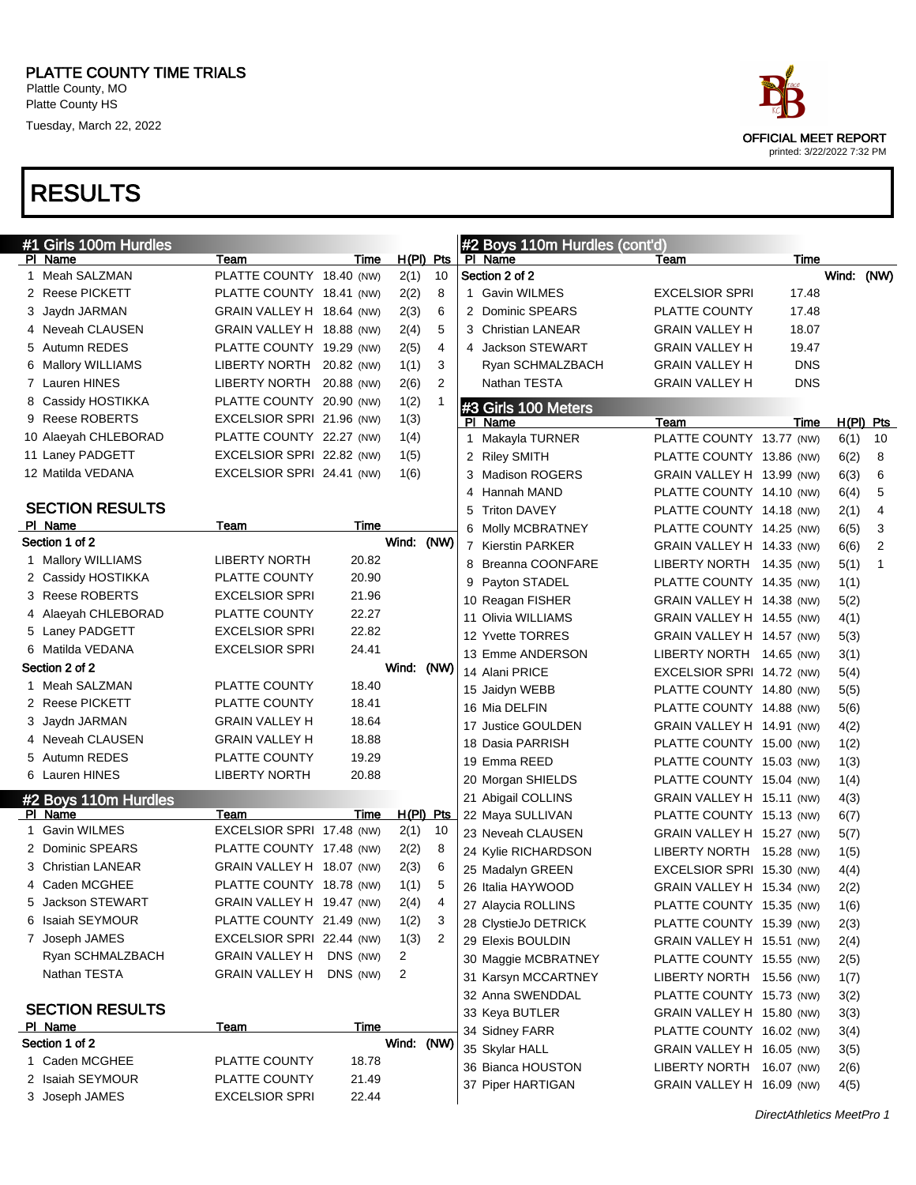

| #1 Girls 100m Hurdles  |                           |            |            |                |   | #2 Boys 110m Hurdles (cont'd) |                           |            |             |                |
|------------------------|---------------------------|------------|------------|----------------|---|-------------------------------|---------------------------|------------|-------------|----------------|
| PI Name                | Team                      | Time       |            | $H(PI)$ Pts    |   | PI Name                       | Team                      | Time       |             |                |
| 1 Meah SALZMAN         | PLATTE COUNTY 18.40 (NW)  |            | 2(1)       | 10             |   | Section 2 of 2                |                           |            | Wind: (NW)  |                |
| 2 Reese PICKETT        | PLATTE COUNTY 18.41 (NW)  |            | 2(2)       | 8              |   | 1 Gavin WILMES                | <b>EXCELSIOR SPRI</b>     | 17.48      |             |                |
| 3 Jaydn JARMAN         | GRAIN VALLEY H 18.64 (NW) |            | 2(3)       | 6              |   | 2 Dominic SPEARS              | PLATTE COUNTY             | 17.48      |             |                |
| 4 Neveah CLAUSEN       | GRAIN VALLEY H 18.88 (NW) |            | 2(4)       | 5              |   | 3 Christian LANEAR            | <b>GRAIN VALLEY H</b>     | 18.07      |             |                |
| 5 Autumn REDES         | PLATTE COUNTY 19.29 (NW)  |            | 2(5)       | 4              |   | 4 Jackson STEWART             | <b>GRAIN VALLEY H</b>     | 19.47      |             |                |
| 6 Mallory WILLIAMS     | LIBERTY NORTH             | 20.82 (NW) | 1(1)       | 3              |   | Ryan SCHMALZBACH              | <b>GRAIN VALLEY H</b>     | <b>DNS</b> |             |                |
| 7 Lauren HINES         | <b>LIBERTY NORTH</b>      | 20.88 (NW) | 2(6)       | $\overline{2}$ |   | Nathan TESTA                  | <b>GRAIN VALLEY H</b>     | <b>DNS</b> |             |                |
| 8 Cassidy HOSTIKKA     | PLATTE COUNTY 20.90 (NW)  |            | 1(2)       |                |   | #3 Girls 100 Meters           |                           |            |             |                |
| 9 Reese ROBERTS        | EXCELSIOR SPRI 21.96 (NW) |            | 1(3)       |                |   | PI Name                       | Team                      | Time       | $H(PI)$ Pts |                |
| 10 Alaeyah CHLEBORAD   | PLATTE COUNTY 22.27 (NW)  |            | 1(4)       |                |   | 1 Makayla TURNER              | PLATTE COUNTY 13.77 (NW)  |            | 6(1)        | 10             |
| 11 Laney PADGETT       | EXCELSIOR SPRI 22.82 (NW) |            | 1(5)       |                |   | 2 Riley SMITH                 | PLATTE COUNTY 13.86 (NW)  |            | 6(2)        | 8              |
| 12 Matilda VEDANA      | EXCELSIOR SPRI 24.41 (NW) |            | 1(6)       |                |   | 3 Madison ROGERS              | GRAIN VALLEY H 13.99 (NW) |            | 6(3)        | 6              |
|                        |                           |            |            |                |   | 4 Hannah MAND                 | PLATTE COUNTY 14.10 (NW)  |            | 6(4)        | 5              |
| <b>SECTION RESULTS</b> |                           |            |            |                |   | 5 Triton DAVEY                | PLATTE COUNTY 14.18 (NW)  |            | 2(1)        | $\overline{4}$ |
| PI Name                | Team                      | Time       |            |                |   | 6 Molly MCBRATNEY             | PLATTE COUNTY 14.25 (NW)  |            | 6(5)        | 3              |
| Section 1 of 2         |                           |            | Wind: (NW) |                |   | 7 Kierstin PARKER             | GRAIN VALLEY H 14.33 (NW) |            | 6(6)        | 2              |
| 1 Mallory WILLIAMS     | <b>LIBERTY NORTH</b>      | 20.82      |            |                |   | 8 Breanna COONFARE            | LIBERTY NORTH 14.35 (NW)  |            | 5(1)        | $\mathbf{1}$   |
| 2 Cassidy HOSTIKKA     | PLATTE COUNTY             | 20.90      |            |                | 9 | Payton STADEL                 | PLATTE COUNTY 14.35 (NW)  |            | 1(1)        |                |
| 3 Reese ROBERTS        | <b>EXCELSIOR SPRI</b>     | 21.96      |            |                |   | 10 Reagan FISHER              | GRAIN VALLEY H 14.38 (NW) |            | 5(2)        |                |
| 4 Alaeyah CHLEBORAD    | PLATTE COUNTY             | 22.27      |            |                |   | 11 Olivia WILLIAMS            | GRAIN VALLEY H 14.55 (NW) |            | 4(1)        |                |
| 5 Laney PADGETT        | <b>EXCELSIOR SPRI</b>     | 22.82      |            |                |   | 12 Yvette TORRES              | GRAIN VALLEY H 14.57 (NW) |            | 5(3)        |                |
| 6 Matilda VEDANA       | <b>EXCELSIOR SPRI</b>     | 24.41      |            |                |   | 13 Emme ANDERSON              | LIBERTY NORTH 14.65 (NW)  |            | 3(1)        |                |
| Section 2 of 2         |                           |            | Wind: (NW) |                |   | 14 Alani PRICE                | EXCELSIOR SPRI 14.72 (NW) |            | 5(4)        |                |
| 1 Meah SALZMAN         | PLATTE COUNTY             | 18.40      |            |                |   | 15 Jaidyn WEBB                | PLATTE COUNTY 14.80 (NW)  |            | 5(5)        |                |
| 2 Reese PICKETT        | PLATTE COUNTY             | 18.41      |            |                |   | 16 Mia DELFIN                 | PLATTE COUNTY 14.88 (NW)  |            | 5(6)        |                |
| 3 Jaydn JARMAN         | <b>GRAIN VALLEY H</b>     | 18.64      |            |                |   | 17 Justice GOULDEN            | GRAIN VALLEY H 14.91 (NW) |            | 4(2)        |                |
| 4 Neveah CLAUSEN       | <b>GRAIN VALLEY H</b>     | 18.88      |            |                |   | 18 Dasia PARRISH              | PLATTE COUNTY 15.00 (NW)  |            | 1(2)        |                |
| 5 Autumn REDES         | PLATTE COUNTY             | 19.29      |            |                |   | 19 Emma REED                  | PLATTE COUNTY 15.03 (NW)  |            | 1(3)        |                |
| 6 Lauren HINES         | <b>LIBERTY NORTH</b>      | 20.88      |            |                |   | 20 Morgan SHIELDS             | PLATTE COUNTY 15.04 (NW)  |            | 1(4)        |                |
| #2 Boys 110m Hurdles   |                           |            |            |                |   | 21 Abigail COLLINS            | GRAIN VALLEY H 15.11 (NW) |            | 4(3)        |                |
| PI Name                | Team                      | Time       |            | $H(PI)$ Pts    |   | 22 Maya SULLIVAN              | PLATTE COUNTY 15.13 (NW)  |            | 6(7)        |                |
| 1 Gavin WILMES         | EXCELSIOR SPRI 17.48 (NW) |            | 2(1)       | 10             |   | 23 Neveah CLAUSEN             | GRAIN VALLEY H 15.27 (NW) |            | 5(7)        |                |
| 2 Dominic SPEARS       | PLATTE COUNTY 17.48 (NW)  |            | 2(2)       | 8              |   | 24 Kylie RICHARDSON           | LIBERTY NORTH 15.28 (NW)  |            | 1(5)        |                |
| 3 Christian LANEAR     | GRAIN VALLEY H 18.07 (NW) |            | 2(3)       | 6              |   | 25 Madalyn GREEN              | EXCELSIOR SPRI 15.30 (NW) |            | 4(4)        |                |
| 4 Caden MCGHEE         | PLATTE COUNTY 18.78 (NW)  |            | 1(1)       | 5              |   | 26 Italia HAYWOOD             | GRAIN VALLEY H 15.34 (NW) |            | 2(2)        |                |
| 5 Jackson STEWART      | GRAIN VALLEY H 19.47 (NW) |            | 2(4)       | 4              |   | 27 Alaycia ROLLINS            | PLATTE COUNTY 15.35 (NW)  |            | 1(6)        |                |
| 6 Isaiah SEYMOUR       | PLATTE COUNTY 21.49 (NW)  |            | 1(2)       | 3              |   | 28 ClystieJo DETRICK          | PLATTE COUNTY 15.39 (NW)  |            | 2(3)        |                |
| 7 Joseph JAMES         | EXCELSIOR SPRI 22.44 (NW) |            | 1(3)       | 2              |   | 29 Elexis BOULDIN             | GRAIN VALLEY H 15.51 (NW) |            | 2(4)        |                |
| Ryan SCHMALZBACH       | GRAIN VALLEY H DNS (NW)   |            | 2          |                |   | 30 Maggie MCBRATNEY           | PLATTE COUNTY 15.55 (NW)  |            | 2(5)        |                |
| Nathan TESTA           | GRAIN VALLEY H DNS (NW)   |            | 2          |                |   | 31 Karsyn MCCARTNEY           | LIBERTY NORTH 15.56 (NW)  |            | 1(7)        |                |
|                        |                           |            |            |                |   | 32 Anna SWENDDAL              | PLATTE COUNTY 15.73 (NW)  |            | 3(2)        |                |
| <b>SECTION RESULTS</b> |                           |            |            |                |   | 33 Keya BUTLER                | GRAIN VALLEY H 15.80 (NW) |            | 3(3)        |                |
| PI Name                | <u>Team</u>               | Time       |            |                |   | 34 Sidney FARR                | PLATTE COUNTY 16.02 (NW)  |            | 3(4)        |                |
| Section 1 of 2         |                           |            | Wind: (NW) |                |   | 35 Skylar HALL                | GRAIN VALLEY H 16.05 (NW) |            | 3(5)        |                |
| 1 Caden MCGHEE         | PLATTE COUNTY             | 18.78      |            |                |   | 36 Bianca HOUSTON             | LIBERTY NORTH 16.07 (NW)  |            | 2(6)        |                |
| 2 Isaiah SEYMOUR       | PLATTE COUNTY             | 21.49      |            |                |   | 37 Piper HARTIGAN             | GRAIN VALLEY H 16.09 (NW) |            | 4(5)        |                |
| 3 Joseph JAMES         | <b>EXCELSIOR SPRI</b>     | 22.44      |            |                |   |                               |                           |            |             |                |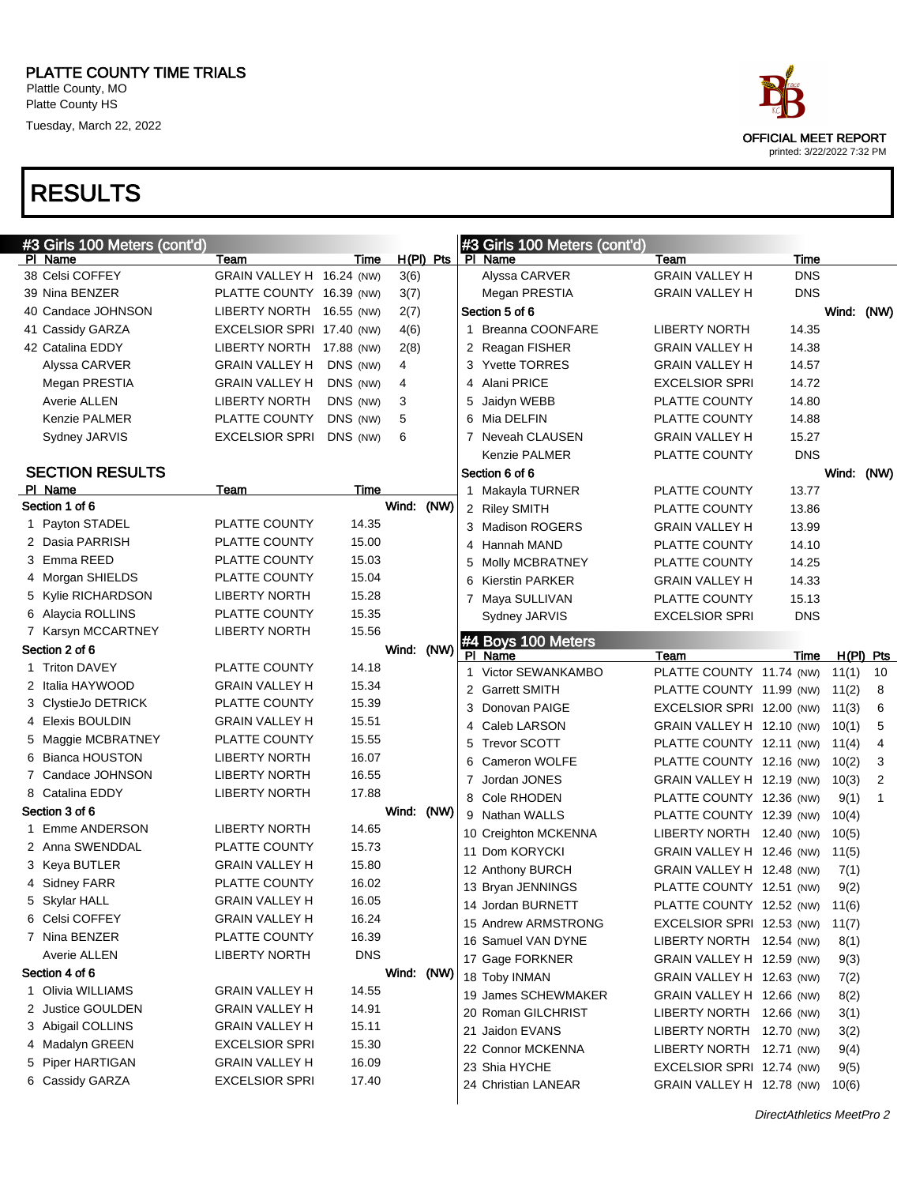| ace                                                       |
|-----------------------------------------------------------|
| <b>OFFICIAL MEET REPORT</b><br>printed: 3/22/2022 7:32 PM |

| #3 Girls 100 Meters (cont'd) |                           |            |            |           |   | #3 Girls 100 Meters (cont'd)         |                                                        |            |            |                |
|------------------------------|---------------------------|------------|------------|-----------|---|--------------------------------------|--------------------------------------------------------|------------|------------|----------------|
| PI Name                      | Team                      | Time       |            | H(PI) Pts |   | PI Name                              | Team                                                   | Time       |            |                |
| 38 Celsi COFFEY              | GRAIN VALLEY H 16.24 (NW) |            | 3(6)       |           |   | Alyssa CARVER                        | <b>GRAIN VALLEY H</b>                                  | <b>DNS</b> |            |                |
| 39 Nina BENZER               | PLATTE COUNTY 16.39 (NW)  |            | 3(7)       |           |   | Megan PRESTIA                        | <b>GRAIN VALLEY H</b>                                  | <b>DNS</b> |            |                |
| 40 Candace JOHNSON           | LIBERTY NORTH 16.55 (NW)  |            | 2(7)       |           |   | Section 5 of 6                       |                                                        |            | Wind: (NW) |                |
| 41 Cassidy GARZA             | EXCELSIOR SPRI 17.40 (NW) |            | 4(6)       |           | 1 | <b>Breanna COONFARE</b>              | <b>LIBERTY NORTH</b>                                   | 14.35      |            |                |
| 42 Catalina EDDY             | LIBERTY NORTH 17.88 (NW)  |            | 2(8)       |           |   | 2 Reagan FISHER                      | <b>GRAIN VALLEY H</b>                                  | 14.38      |            |                |
| Alyssa CARVER                | <b>GRAIN VALLEY H</b>     | DNS (NW)   | 4          |           |   | 3 Yvette TORRES                      | <b>GRAIN VALLEY H</b>                                  | 14.57      |            |                |
| Megan PRESTIA                | <b>GRAIN VALLEY H</b>     | DNS (NW)   | 4          |           |   | 4 Alani PRICE                        | <b>EXCELSIOR SPRI</b>                                  | 14.72      |            |                |
| Averie ALLEN                 | <b>LIBERTY NORTH</b>      | DNS (NW)   | 3          |           |   | 5 Jaidyn WEBB                        | PLATTE COUNTY                                          | 14.80      |            |                |
| <b>Kenzie PALMER</b>         | PLATTE COUNTY             | DNS (NW)   | 5          |           |   | 6 Mia DELFIN                         | PLATTE COUNTY                                          | 14.88      |            |                |
| Sydney JARVIS                | <b>EXCELSIOR SPRI</b>     | DNS (NW)   | 6          |           |   | 7 Neveah CLAUSEN                     | <b>GRAIN VALLEY H</b>                                  | 15.27      |            |                |
|                              |                           |            |            |           |   | <b>Kenzie PALMER</b>                 | PLATTE COUNTY                                          | <b>DNS</b> |            |                |
| <b>SECTION RESULTS</b>       |                           |            |            |           |   | Section 6 of 6                       |                                                        |            | Wind: (NW) |                |
| PI Name                      | Team                      | Time       |            |           |   | 1 Makayla TURNER                     | PLATTE COUNTY                                          | 13.77      |            |                |
| Section 1 of 6               |                           |            | Wind: (NW) |           |   | 2 Riley SMITH                        | PLATTE COUNTY                                          | 13.86      |            |                |
| 1 Payton STADEL              | PLATTE COUNTY             | 14.35      |            |           |   | 3 Madison ROGERS                     | <b>GRAIN VALLEY H</b>                                  | 13.99      |            |                |
| 2 Dasia PARRISH              | PLATTE COUNTY             | 15.00      |            |           | 4 | Hannah MAND                          | PLATTE COUNTY                                          | 14.10      |            |                |
| 3 Emma REED                  | PLATTE COUNTY             | 15.03      |            |           | 5 | Molly MCBRATNEY                      | PLATTE COUNTY                                          | 14.25      |            |                |
| 4 Morgan SHIELDS             | PLATTE COUNTY             | 15.04      |            |           | 6 | <b>Kierstin PARKER</b>               | <b>GRAIN VALLEY H</b>                                  | 14.33      |            |                |
| 5 Kylie RICHARDSON           | <b>LIBERTY NORTH</b>      | 15.28      |            |           |   | 7 Maya SULLIVAN                      | PLATTE COUNTY                                          | 15.13      |            |                |
| 6 Alaycia ROLLINS            | PLATTE COUNTY             | 15.35      |            |           |   | Sydney JARVIS                        | <b>EXCELSIOR SPRI</b>                                  | <b>DNS</b> |            |                |
| 7 Karsyn MCCARTNEY           | <b>LIBERTY NORTH</b>      | 15.56      |            |           |   | #4 Boys 100 Meters                   |                                                        |            |            |                |
| Section 2 of 6               |                           |            | Wind: (NW) |           |   | PI Name                              | Team                                                   | Time       |            | $H(PI)$ Pts    |
| 1 Triton DAVEY               | PLATTE COUNTY             | 14.18      |            |           |   | 1 Victor SEWANKAMBO                  | PLATTE COUNTY 11.74 (NW)                               |            | 11(1)      | 10             |
| 2 Italia HAYWOOD             | <b>GRAIN VALLEY H</b>     | 15.34      |            |           |   | 2 Garrett SMITH                      | PLATTE COUNTY 11.99 (NW)                               |            | 11(2)      | 8              |
| 3 ClystieJo DETRICK          | PLATTE COUNTY             | 15.39      |            |           |   | 3 Donovan PAIGE                      | EXCELSIOR SPRI 12.00 (NW)                              |            | 11(3)      | 6              |
| 4 Elexis BOULDIN             | <b>GRAIN VALLEY H</b>     | 15.51      |            |           | 4 | Caleb LARSON                         | GRAIN VALLEY H 12.10 (NW)                              |            | 10(1)      | 5              |
| 5 Maggie MCBRATNEY           | PLATTE COUNTY             | 15.55      |            |           | 5 | <b>Trevor SCOTT</b>                  | PLATTE COUNTY 12.11 (NW)                               |            | 11(4)      | $\overline{4}$ |
| 6 Bianca HOUSTON             | <b>LIBERTY NORTH</b>      | 16.07      |            |           | 6 | Cameron WOLFE                        | PLATTE COUNTY 12.16 (NW)                               |            | 10(2)      | 3              |
| 7 Candace JOHNSON            | <b>LIBERTY NORTH</b>      | 16.55      |            |           |   | 7 Jordan JONES                       | GRAIN VALLEY H 12.19 (NW)                              |            | 10(3)      | 2              |
| 8 Catalina EDDY              | <b>LIBERTY NORTH</b>      | 17.88      |            |           |   | 8 Cole RHODEN                        | PLATTE COUNTY 12.36 (NW)                               |            | 9(1)       | 1              |
| Section 3 of 6               |                           |            | Wind: (NW) |           |   | 9 Nathan WALLS                       | PLATTE COUNTY 12.39 (NW)                               |            | 10(4)      |                |
| 1 Emme ANDERSON              | <b>LIBERTY NORTH</b>      | 14.65      |            |           |   | 10 Creighton MCKENNA                 | LIBERTY NORTH 12.40 (NW)                               |            | 10(5)      |                |
| 2 Anna SWENDDAL              | PLATTE COUNTY             | 15.73      |            |           |   | 11 Dom KORYCKI                       | GRAIN VALLEY H 12.46 (NW)                              |            | 11(5)      |                |
| 3 Keya BUTLER                | <b>GRAIN VALLEY H</b>     | 15.80      |            |           |   | 12 Anthony BURCH                     | GRAIN VALLEY H 12.48 (NW)                              |            | 7(1)       |                |
| 4 Sidney FARR                | PLATTE COUNTY             | 16.02      |            |           |   | 13 Bryan JENNINGS                    | PLATTE COUNTY 12.51 (NW)                               |            | 9(2)       |                |
| 5 Skylar HALL                | <b>GRAIN VALLEY H</b>     | 16.05      |            |           |   | 14 Jordan BURNETT                    | PLATTE COUNTY 12.52 (NW)                               |            | 11(6)      |                |
| 6 Celsi COFFEY               | <b>GRAIN VALLEY H</b>     | 16.24      |            |           |   | 15 Andrew ARMSTRONG                  | EXCELSIOR SPRI 12.53 (NW)                              |            | 11(7)      |                |
| 7 Nina BENZER                | PLATTE COUNTY             | 16.39      |            |           |   | 16 Samuel VAN DYNE                   | LIBERTY NORTH 12.54 (NW)                               |            | 8(1)       |                |
| Averie ALLEN                 | <b>LIBERTY NORTH</b>      | <b>DNS</b> |            |           |   | 17 Gage FORKNER                      | GRAIN VALLEY H 12.59 (NW)                              |            | 9(3)       |                |
| Section 4 of 6               |                           |            | Wind: (NW) |           |   | 18 Toby INMAN                        | GRAIN VALLEY H 12.63 (NW)                              |            | 7(2)       |                |
| 1 Olivia WILLIAMS            | <b>GRAIN VALLEY H</b>     | 14.55      |            |           |   | 19 James SCHEWMAKER                  | GRAIN VALLEY H 12.66 (NW)                              |            | 8(2)       |                |
| 2 Justice GOULDEN            | <b>GRAIN VALLEY H</b>     | 14.91      |            |           |   | 20 Roman GILCHRIST                   | LIBERTY NORTH 12.66 (NW)                               |            | 3(1)       |                |
| 3 Abigail COLLINS            | <b>GRAIN VALLEY H</b>     | 15.11      |            |           |   | 21 Jaidon EVANS                      | LIBERTY NORTH 12.70 (NW)                               |            | 3(2)       |                |
| 4 Madalyn GREEN              | <b>EXCELSIOR SPRI</b>     | 15.30      |            |           |   | 22 Connor MCKENNA                    | LIBERTY NORTH 12.71 (NW)                               |            | 9(4)       |                |
| 5 Piper HARTIGAN             | <b>GRAIN VALLEY H</b>     | 16.09      |            |           |   |                                      |                                                        |            | 9(5)       |                |
|                              |                           |            |            |           |   |                                      |                                                        |            |            |                |
| 6 Cassidy GARZA              | <b>EXCELSIOR SPRI</b>     | 17.40      |            |           |   | 23 Shia HYCHE<br>24 Christian LANEAR | EXCELSIOR SPRI 12.74 (NW)<br>GRAIN VALLEY H 12.78 (NW) |            | 10(6)      |                |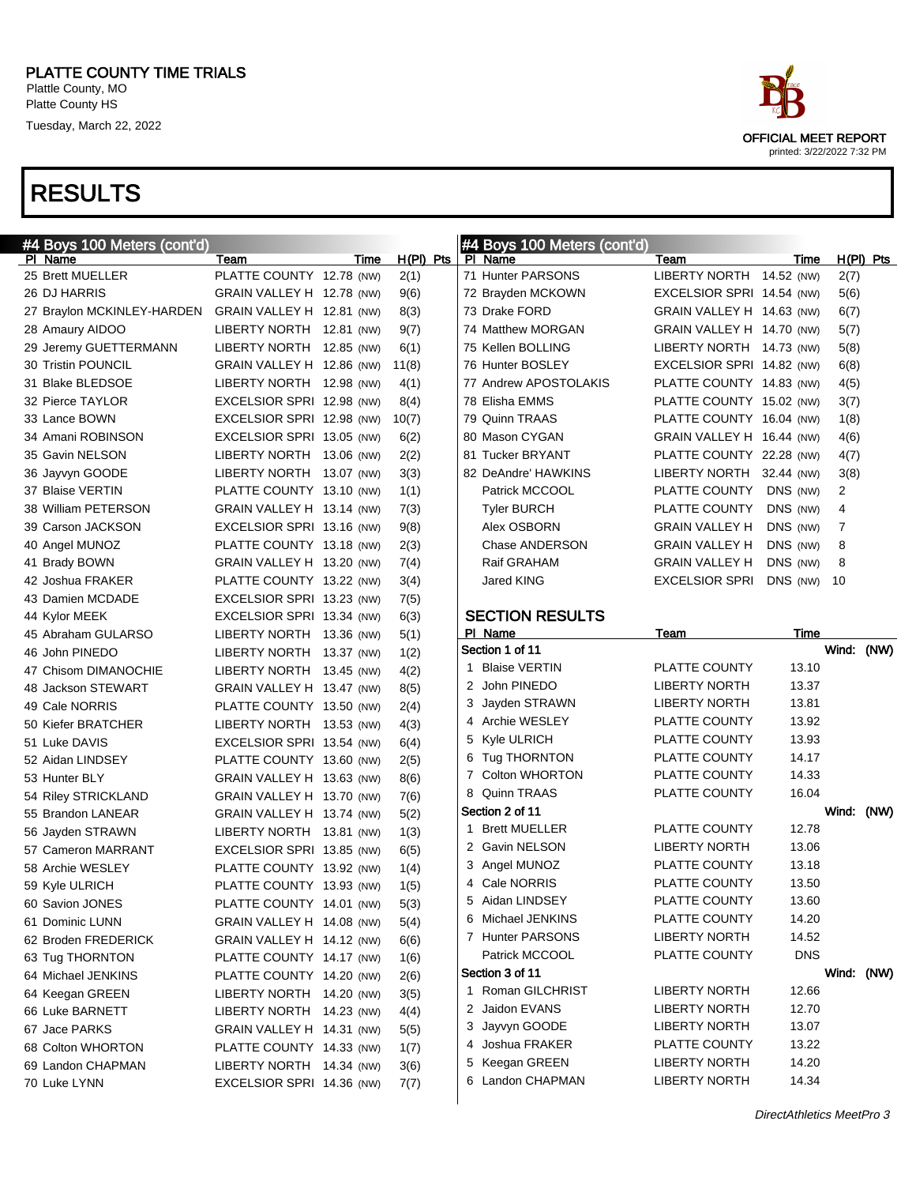

```
OFFICIAL MEET REPORT
printed: 3/22/2022 7:32 PM
```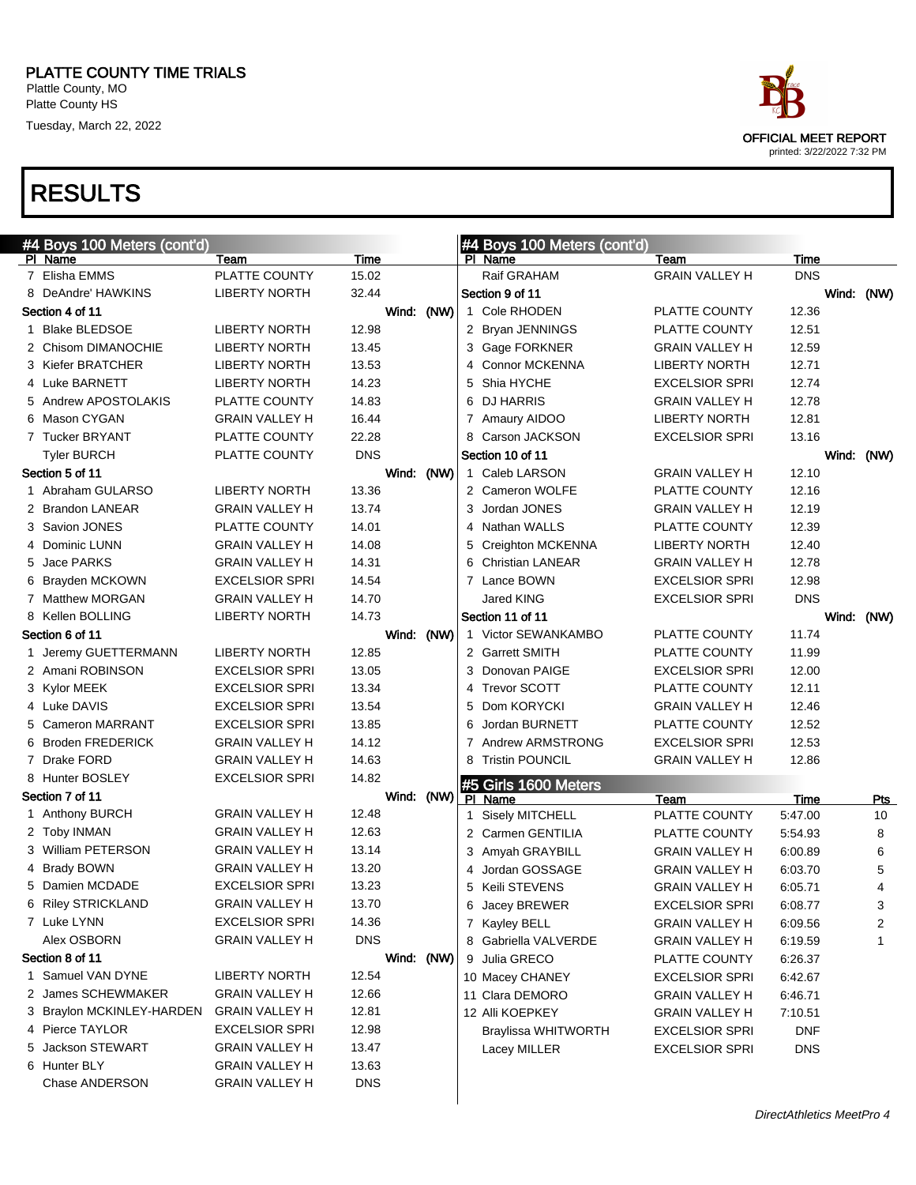

| #4 Boys 100 Meters (cont'd) |                       |            |            |   | #4 Boys 100 Meters (cont'd)            |                       |            |            |            |
|-----------------------------|-----------------------|------------|------------|---|----------------------------------------|-----------------------|------------|------------|------------|
| PI Name                     | Team                  | Time       |            |   | PI Name                                | Team                  | Time       |            |            |
| 7 Elisha EMMS               | PLATTE COUNTY         | 15.02      |            |   | Raif GRAHAM                            | <b>GRAIN VALLEY H</b> | <b>DNS</b> |            |            |
| 8 DeAndre' HAWKINS          | <b>LIBERTY NORTH</b>  | 32.44      |            |   | Section 9 of 11                        |                       |            | Wind: (NW) |            |
| Section 4 of 11             |                       |            | Wind: (NW) |   | 1 Cole RHODEN                          | PLATTE COUNTY         | 12.36      |            |            |
| 1 Blake BLEDSOE             | <b>LIBERTY NORTH</b>  | 12.98      |            |   | 2 Bryan JENNINGS                       | PLATTE COUNTY         | 12.51      |            |            |
| 2 Chisom DIMANOCHIE         | <b>LIBERTY NORTH</b>  | 13.45      |            |   | 3 Gage FORKNER                         | <b>GRAIN VALLEY H</b> | 12.59      |            |            |
| 3 Kiefer BRATCHER           | <b>LIBERTY NORTH</b>  | 13.53      |            |   | 4 Connor MCKENNA                       | <b>LIBERTY NORTH</b>  | 12.71      |            |            |
| 4 Luke BARNETT              | <b>LIBERTY NORTH</b>  | 14.23      |            |   | 5 Shia HYCHE                           | <b>EXCELSIOR SPRI</b> | 12.74      |            |            |
| 5 Andrew APOSTOLAKIS        | <b>PLATTE COUNTY</b>  | 14.83      |            |   | 6 DJ HARRIS                            | <b>GRAIN VALLEY H</b> | 12.78      |            |            |
| 6 Mason CYGAN               | <b>GRAIN VALLEY H</b> | 16.44      |            |   | 7 Amaury AIDOO                         | <b>LIBERTY NORTH</b>  | 12.81      |            |            |
| 7 Tucker BRYANT             | PLATTE COUNTY         | 22.28      |            |   | 8 Carson JACKSON                       | <b>EXCELSIOR SPRI</b> | 13.16      |            |            |
| <b>Tyler BURCH</b>          | PLATTE COUNTY         | <b>DNS</b> |            |   | Section 10 of 11                       |                       |            |            | Wind: (NW) |
| Section 5 of 11             |                       | Wind:      | (NW)       |   | 1 Caleb LARSON                         | <b>GRAIN VALLEY H</b> | 12.10      |            |            |
| 1 Abraham GULARSO           | <b>LIBERTY NORTH</b>  | 13.36      |            |   | 2 Cameron WOLFE                        | PLATTE COUNTY         | 12.16      |            |            |
| 2 Brandon LANEAR            | <b>GRAIN VALLEY H</b> | 13.74      |            |   | 3 Jordan JONES                         | <b>GRAIN VALLEY H</b> | 12.19      |            |            |
| 3 Savion JONES              | PLATTE COUNTY         | 14.01      |            |   | 4 Nathan WALLS                         | PLATTE COUNTY         | 12.39      |            |            |
| 4 Dominic LUNN              | <b>GRAIN VALLEY H</b> | 14.08      |            |   | 5 Creighton MCKENNA                    | <b>LIBERTY NORTH</b>  | 12.40      |            |            |
| 5 Jace PARKS                | <b>GRAIN VALLEY H</b> | 14.31      |            |   | 6 Christian LANEAR                     | <b>GRAIN VALLEY H</b> | 12.78      |            |            |
| 6 Brayden MCKOWN            | <b>EXCELSIOR SPRI</b> | 14.54      |            |   | 7 Lance BOWN                           | <b>EXCELSIOR SPRI</b> | 12.98      |            |            |
| 7 Matthew MORGAN            | <b>GRAIN VALLEY H</b> | 14.70      |            |   | <b>Jared KING</b>                      | <b>EXCELSIOR SPRI</b> | <b>DNS</b> |            |            |
| 8 Kellen BOLLING            | <b>LIBERTY NORTH</b>  | 14.73      |            |   | Section 11 of 11                       |                       |            |            | Wind: (NW) |
| Section 6 of 11             |                       |            | Wind: (NW) |   | 1 Victor SEWANKAMBO                    | PLATTE COUNTY         | 11.74      |            |            |
| 1 Jeremy GUETTERMANN        | <b>LIBERTY NORTH</b>  | 12.85      |            |   | 2 Garrett SMITH                        | PLATTE COUNTY         | 11.99      |            |            |
| 2 Amani ROBINSON            | <b>EXCELSIOR SPRI</b> | 13.05      |            |   | 3 Donovan PAIGE                        | <b>EXCELSIOR SPRI</b> | 12.00      |            |            |
| 3 Kylor MEEK                | <b>EXCELSIOR SPRI</b> | 13.34      |            |   | 4 Trevor SCOTT                         | PLATTE COUNTY         | 12.11      |            |            |
| 4 Luke DAVIS                | <b>EXCELSIOR SPRI</b> | 13.54      |            |   | 5 Dom KORYCKI                          | <b>GRAIN VALLEY H</b> | 12.46      |            |            |
| 5 Cameron MARRANT           | <b>EXCELSIOR SPRI</b> | 13.85      |            | 6 | Jordan BURNETT                         | PLATTE COUNTY         | 12.52      |            |            |
| 6 Broden FREDERICK          | <b>GRAIN VALLEY H</b> | 14.12      |            |   | 7 Andrew ARMSTRONG                     | <b>EXCELSIOR SPRI</b> | 12.53      |            |            |
| 7 Drake FORD                | <b>GRAIN VALLEY H</b> | 14.63      |            |   | 8 Tristin POUNCIL                      | <b>GRAIN VALLEY H</b> | 12.86      |            |            |
| 8 Hunter BOSLEY             | <b>EXCELSIOR SPRI</b> | 14.82      |            |   |                                        |                       |            |            |            |
| Section 7 of 11             |                       | Wind:      | (NW)       |   | #5 Girls 1600 Meters<br><b>PI</b> Name | Team                  | Time       |            | <u>Pts</u> |
| 1 Anthony BURCH             | <b>GRAIN VALLEY H</b> | 12.48      |            |   | 1 Sisely MITCHELL                      | PLATTE COUNTY         | 5:47.00    |            | 10         |
| 2 Toby INMAN                | <b>GRAIN VALLEY H</b> | 12.63      |            |   | 2 Carmen GENTILIA                      | PLATTE COUNTY         | 5:54.93    |            | 8          |
| 3 William PETERSON          | <b>GRAIN VALLEY H</b> | 13.14      |            |   | 3 Amyah GRAYBILL                       | <b>GRAIN VALLEY H</b> | 6:00.89    |            | 6          |
| 4 Brady BOWN                | <b>GRAIN VALLEY H</b> | 13.20      |            |   | 4 Jordan GOSSAGE                       | <b>GRAIN VALLEY H</b> | 6:03.70    |            | 5          |
| 5 Damien MCDADE             | <b>EXCELSIOR SPRI</b> | 13.23      |            |   | 5 Keili STEVENS                        | <b>GRAIN VALLEY H</b> | 6:05.71    |            | 4          |
| 6 Riley STRICKLAND          | <b>GRAIN VALLEY H</b> | 13.70      |            |   | 6 Jacey BREWER                         | <b>EXCELSIOR SPRI</b> | 6:08.77    |            | 3          |
| 7 Luke LYNN                 | <b>EXCELSIOR SPRI</b> | 14.36      |            |   | 7 Kayley BELL                          | <b>GRAIN VALLEY H</b> | 6:09.56    |            | 2          |
| Alex OSBORN                 | <b>GRAIN VALLEY H</b> | <b>DNS</b> |            |   | 8 Gabriella VALVERDE                   | <b>GRAIN VALLEY H</b> | 6:19.59    |            | 1          |
| Section 8 of 11             |                       |            | Wind: (NW) |   | 9 Julia GRECO                          | PLATTE COUNTY         | 6:26.37    |            |            |
| 1 Samuel VAN DYNE           | <b>LIBERTY NORTH</b>  | 12.54      |            |   | 10 Macey CHANEY                        | <b>EXCELSIOR SPRI</b> | 6:42.67    |            |            |
| 2 James SCHEWMAKER          | <b>GRAIN VALLEY H</b> | 12.66      |            |   | 11 Clara DEMORO                        | <b>GRAIN VALLEY H</b> | 6:46.71    |            |            |
| 3 Braylon MCKINLEY-HARDEN   | <b>GRAIN VALLEY H</b> | 12.81      |            |   | 12 Alli KOEPKEY                        | <b>GRAIN VALLEY H</b> | 7:10.51    |            |            |
| 4 Pierce TAYLOR             | <b>EXCELSIOR SPRI</b> | 12.98      |            |   | <b>Braylissa WHITWORTH</b>             | <b>EXCELSIOR SPRI</b> | <b>DNF</b> |            |            |
| 5 Jackson STEWART           | <b>GRAIN VALLEY H</b> | 13.47      |            |   | Lacey MILLER                           | <b>EXCELSIOR SPRI</b> | <b>DNS</b> |            |            |
| 6 Hunter BLY                | <b>GRAIN VALLEY H</b> | 13.63      |            |   |                                        |                       |            |            |            |
| Chase ANDERSON              | <b>GRAIN VALLEY H</b> | <b>DNS</b> |            |   |                                        |                       |            |            |            |
|                             |                       |            |            |   |                                        |                       |            |            |            |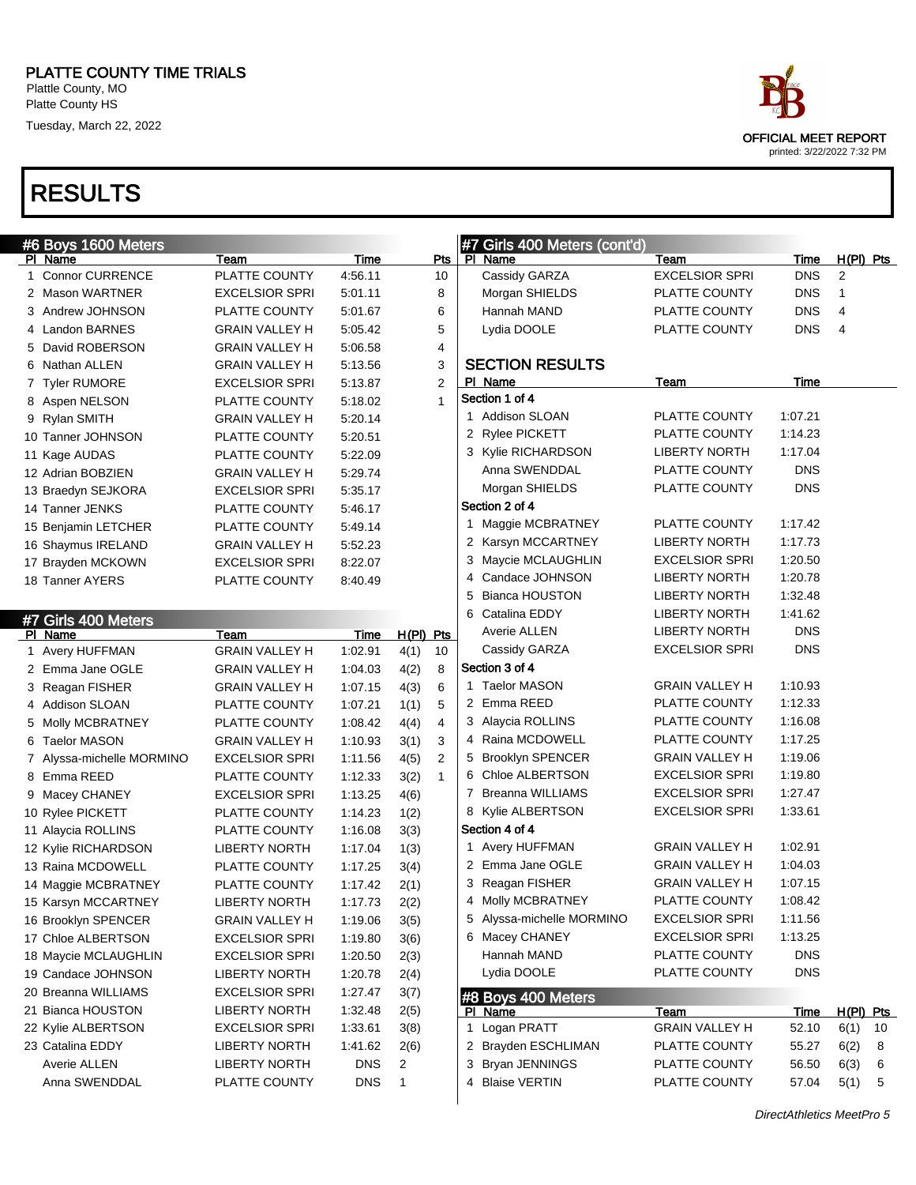| ace                        |
|----------------------------|
| OFFICIAL MEET REPORT       |
| printed: 3/22/2022 7:32 PM |

| #6 Boys 1600 Meters       |                       |             |             |                | #7 Girls 400 Meters (cont'd) |                       |             |                |
|---------------------------|-----------------------|-------------|-------------|----------------|------------------------------|-----------------------|-------------|----------------|
| PI Name                   | Team                  | <b>Time</b> |             | <u>Pts</u>     | PI Name                      | Team                  | Time        | $H(PI)$ Pts    |
| 1 Connor CURRENCE         | PLATTE COUNTY         | 4:56.11     |             | 10             | Cassidy GARZA                | <b>EXCELSIOR SPRI</b> | <b>DNS</b>  | 2              |
| 2 Mason WARTNER           | <b>EXCELSIOR SPRI</b> | 5:01.11     |             | 8              | Morgan SHIELDS               | PLATTE COUNTY         | <b>DNS</b>  | 1              |
| 3 Andrew JOHNSON          | PLATTE COUNTY         | 5:01.67     |             | 6              | Hannah MAND                  | PLATTE COUNTY         | <b>DNS</b>  | 4              |
| 4 Landon BARNES           | <b>GRAIN VALLEY H</b> | 5:05.42     |             | 5              | Lydia DOOLE                  | PLATTE COUNTY         | <b>DNS</b>  | $\overline{4}$ |
| 5 David ROBERSON          | <b>GRAIN VALLEY H</b> | 5:06.58     |             | 4              |                              |                       |             |                |
| 6 Nathan ALLEN            | <b>GRAIN VALLEY H</b> | 5:13.56     |             | 3              | <b>SECTION RESULTS</b>       |                       |             |                |
| 7 Tyler RUMORE            | <b>EXCELSIOR SPRI</b> | 5:13.87     |             | $\overline{2}$ | PI Name                      | Team                  | Time        |                |
| 8 Aspen NELSON            | PLATTE COUNTY         | 5:18.02     |             | $\mathbf{1}$   | Section 1 of 4               |                       |             |                |
| 9 Rylan SMITH             | <b>GRAIN VALLEY H</b> | 5:20.14     |             |                | 1 Addison SLOAN              | PLATTE COUNTY         | 1:07.21     |                |
| 10 Tanner JOHNSON         | PLATTE COUNTY         | 5:20.51     |             |                | 2 Rylee PICKETT              | PLATTE COUNTY         | 1:14.23     |                |
| 11 Kage AUDAS             | PLATTE COUNTY         | 5:22.09     |             |                | 3 Kylie RICHARDSON           | <b>LIBERTY NORTH</b>  | 1:17.04     |                |
| 12 Adrian BOBZIEN         | <b>GRAIN VALLEY H</b> | 5:29.74     |             |                | Anna SWENDDAL                | PLATTE COUNTY         | <b>DNS</b>  |                |
| 13 Braedyn SEJKORA        | <b>EXCELSIOR SPRI</b> | 5:35.17     |             |                | Morgan SHIELDS               | PLATTE COUNTY         | <b>DNS</b>  |                |
| 14 Tanner JENKS           | PLATTE COUNTY         | 5:46.17     |             |                | Section 2 of 4               |                       |             |                |
| 15 Benjamin LETCHER       | PLATTE COUNTY         | 5:49.14     |             |                | 1 Maggie MCBRATNEY           | PLATTE COUNTY         | 1:17.42     |                |
| 16 Shaymus IRELAND        | <b>GRAIN VALLEY H</b> | 5:52.23     |             |                | 2 Karsyn MCCARTNEY           | <b>LIBERTY NORTH</b>  | 1:17.73     |                |
| 17 Brayden MCKOWN         | <b>EXCELSIOR SPRI</b> | 8:22.07     |             |                | 3 Maycie MCLAUGHLIN          | <b>EXCELSIOR SPRI</b> | 1:20.50     |                |
| 18 Tanner AYERS           | PLATTE COUNTY         | 8:40.49     |             |                | 4 Candace JOHNSON            | <b>LIBERTY NORTH</b>  | 1:20.78     |                |
|                           |                       |             |             |                | 5 Bianca HOUSTON             | <b>LIBERTY NORTH</b>  | 1:32.48     |                |
| #7 Girls 400 Meters       |                       |             |             |                | 6 Catalina EDDY              | <b>LIBERTY NORTH</b>  | 1:41.62     |                |
| PI Name                   | Team                  | Time        | $H(PI)$ Pts |                | Averie ALLEN                 | <b>LIBERTY NORTH</b>  | <b>DNS</b>  |                |
| 1 Avery HUFFMAN           | <b>GRAIN VALLEY H</b> | 1:02.91     | 4(1)        | 10             | Cassidy GARZA                | <b>EXCELSIOR SPRI</b> | <b>DNS</b>  |                |
| 2 Emma Jane OGLE          | <b>GRAIN VALLEY H</b> | 1:04.03     | 4(2)        | 8              | Section 3 of 4               |                       |             |                |
| 3 Reagan FISHER           | <b>GRAIN VALLEY H</b> | 1:07.15     | 4(3)        | 6              | 1 Taelor MASON               | <b>GRAIN VALLEY H</b> | 1:10.93     |                |
| 4 Addison SLOAN           | PLATTE COUNTY         | 1:07.21     | 1(1)        | 5              | 2 Emma REED                  | PLATTE COUNTY         | 1:12.33     |                |
| 5 Molly MCBRATNEY         | PLATTE COUNTY         | 1:08.42     | 4(4)        | 4              | 3 Alaycia ROLLINS            | PLATTE COUNTY         | 1:16.08     |                |
| 6 Taelor MASON            | <b>GRAIN VALLEY H</b> | 1:10.93     | 3(1)        | 3              | 4 Raina MCDOWELL             | PLATTE COUNTY         | 1:17.25     |                |
| 7 Alyssa-michelle MORMINO | <b>EXCELSIOR SPRI</b> | 1:11.56     | 4(5)        | 2              | 5 Brooklyn SPENCER           | <b>GRAIN VALLEY H</b> | 1:19.06     |                |
| 8 Emma REED               | PLATTE COUNTY         | 1:12.33     | 3(2)        | $\mathbf{1}$   | 6 Chloe ALBERTSON            | <b>EXCELSIOR SPRI</b> | 1:19.80     |                |
| 9 Macey CHANEY            | <b>EXCELSIOR SPRI</b> | 1:13.25     | 4(6)        |                | 7 Breanna WILLIAMS           | <b>EXCELSIOR SPRI</b> | 1:27.47     |                |
| 10 Rylee PICKETT          | PLATTE COUNTY         | 1:14.23     | 1(2)        |                | 8 Kylie ALBERTSON            | <b>EXCELSIOR SPRI</b> | 1:33.61     |                |
| 11 Alaycia ROLLINS        | PLATTE COUNTY         | 1:16.08     | 3(3)        |                | Section 4 of 4               |                       |             |                |
| 12 Kylie RICHARDSON       | <b>LIBERTY NORTH</b>  | 1:17.04     | 1(3)        |                | 1 Avery HUFFMAN              | <b>GRAIN VALLEY H</b> | 1:02.91     |                |
| 13 Raina MCDOWELL         | PLATTE COUNTY         | 1:17.25     | 3(4)        |                | 2 Emma Jane OGLE             | <b>GRAIN VALLEY H</b> | 1:04.03     |                |
| 14 Maggie MCBRATNEY       | PLATTE COUNTY         | 1:17.42     | 2(1)        |                | 3 Reagan FISHER              | <b>GRAIN VALLEY H</b> | 1:07.15     |                |
| 15 Karsyn MCCARTNEY       | <b>LIBERTY NORTH</b>  | 1:17.73     | 2(2)        |                | 4 Molly MCBRATNEY            | PLATTE COUNTY         | 1:08.42     |                |
| 16 Brooklyn SPENCER       | <b>GRAIN VALLEY H</b> | 1:19.06     | 3(5)        |                | 5 Alyssa-michelle MORMINO    | <b>EXCELSIOR SPRI</b> | 1:11.56     |                |
| 17 Chloe ALBERTSON        | <b>EXCELSIOR SPRI</b> | 1:19.80     | 3(6)        |                | 6 Macey CHANEY               | <b>EXCELSIOR SPRI</b> | 1:13.25     |                |
| 18 Maycie MCLAUGHLIN      | <b>EXCELSIOR SPRI</b> | 1:20.50     | 2(3)        |                | Hannah MAND                  | PLATTE COUNTY         | <b>DNS</b>  |                |
| 19 Candace JOHNSON        | <b>LIBERTY NORTH</b>  | 1:20.78     | 2(4)        |                | Lydia DOOLE                  | PLATTE COUNTY         | <b>DNS</b>  |                |
| 20 Breanna WILLIAMS       | <b>EXCELSIOR SPRI</b> | 1:27.47     | 3(7)        |                | #8 Boys 400 Meters           |                       |             |                |
| 21 Bianca HOUSTON         | <b>LIBERTY NORTH</b>  | 1:32.48     | 2(5)        |                | PI Name                      | Team                  | <u>Time</u> | H(PI) Pts      |
| 22 Kylie ALBERTSON        | <b>EXCELSIOR SPRI</b> | 1:33.61     | 3(8)        |                | 1 Logan PRATT                | <b>GRAIN VALLEY H</b> | 52.10       | 6(1)<br>10     |
| 23 Catalina EDDY          | <b>LIBERTY NORTH</b>  | 1:41.62     | 2(6)        |                | 2 Brayden ESCHLIMAN          | PLATTE COUNTY         | 55.27       | 6(2)<br>8      |
| Averie ALLEN              | <b>LIBERTY NORTH</b>  | <b>DNS</b>  | 2           |                | 3 Bryan JENNINGS             | PLATTE COUNTY         | 56.50       | 6(3)<br>6      |
| Anna SWENDDAL             | PLATTE COUNTY         | <b>DNS</b>  | 1           |                | 4 Blaise VERTIN              | PLATTE COUNTY         | 57.04       | 5(1)<br>5      |
|                           |                       |             |             |                |                              |                       |             |                |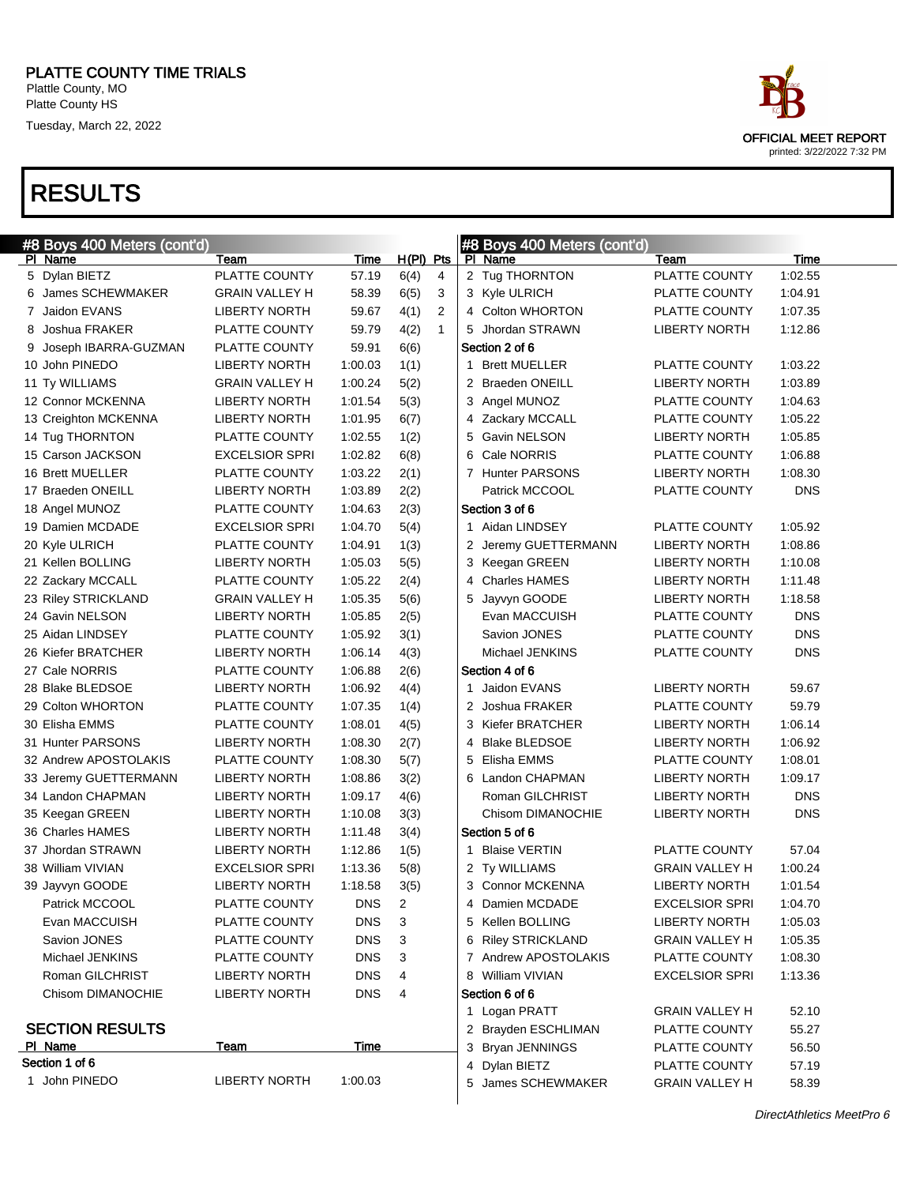| ace                        |
|----------------------------|
| OFFICIAL MEET REPORT       |
| printed: 3/22/2022 7:32 PM |

| #8 Boys 400 Meters (cont'd) |                       |             |                        | #8 Boys 400 Meters (cont'd)                                    |
|-----------------------------|-----------------------|-------------|------------------------|----------------------------------------------------------------|
| PI Name                     | Team                  | <b>Time</b> | $H(PI)$ Pts            | PI Name<br>Time<br>Team                                        |
| 5 Dylan BIETZ               | PLATTE COUNTY         | 57.19       | 6(4)<br>4              | 2 Tug THORNTON<br>PLATTE COUNTY<br>1:02.55                     |
| 6 James SCHEWMAKER          | <b>GRAIN VALLEY H</b> | 58.39       | 6(5)<br>3              | 3 Kyle ULRICH<br>PLATTE COUNTY<br>1:04.91                      |
| 7 Jaidon EVANS              | <b>LIBERTY NORTH</b>  | 59.67       | 4(1)<br>$\overline{2}$ | 4 Colton WHORTON<br>PLATTE COUNTY<br>1:07.35                   |
| 8 Joshua FRAKER             | PLATTE COUNTY         | 59.79       | 4(2)<br>$\mathbf{1}$   | 5 Jhordan STRAWN<br><b>LIBERTY NORTH</b><br>1:12.86            |
| 9 Joseph IBARRA-GUZMAN      | PLATTE COUNTY         | 59.91       | 6(6)                   | Section 2 of 6                                                 |
| 10 John PINEDO              | <b>LIBERTY NORTH</b>  | 1:00.03     | 1(1)                   | <b>Brett MUELLER</b><br>PLATTE COUNTY<br>1:03.22<br>1          |
| 11 Ty WILLIAMS              | <b>GRAIN VALLEY H</b> | 1:00.24     | 5(2)                   | 2 Braeden ONEILL<br><b>LIBERTY NORTH</b><br>1:03.89            |
| 12 Connor MCKENNA           | <b>LIBERTY NORTH</b>  | 1:01.54     | 5(3)                   | 3 Angel MUNOZ<br>PLATTE COUNTY<br>1:04.63                      |
| 13 Creighton MCKENNA        | <b>LIBERTY NORTH</b>  | 1:01.95     | 6(7)                   | 4 Zackary MCCALL<br>PLATTE COUNTY<br>1:05.22                   |
| 14 Tug THORNTON             | PLATTE COUNTY         | 1:02.55     | 1(2)                   | 5 Gavin NELSON<br><b>LIBERTY NORTH</b><br>1:05.85              |
| 15 Carson JACKSON           | <b>EXCELSIOR SPRI</b> | 1:02.82     | 6(8)                   | Cale NORRIS<br>PLATTE COUNTY<br>1:06.88<br>6                   |
| 16 Brett MUELLER            | PLATTE COUNTY         | 1:03.22     | 2(1)                   | 7 Hunter PARSONS<br><b>LIBERTY NORTH</b><br>1:08.30            |
| 17 Braeden ONEILL           | <b>LIBERTY NORTH</b>  | 1:03.89     | 2(2)                   | Patrick MCCOOL<br>PLATTE COUNTY<br><b>DNS</b>                  |
| 18 Angel MUNOZ              | PLATTE COUNTY         | 1:04.63     | 2(3)                   | Section 3 of 6                                                 |
| 19 Damien MCDADE            | <b>EXCELSIOR SPRI</b> | 1:04.70     | 5(4)                   | 1 Aidan LINDSEY<br>PLATTE COUNTY<br>1:05.92                    |
| 20 Kyle ULRICH              | PLATTE COUNTY         | 1:04.91     | 1(3)                   | 2 Jeremy GUETTERMANN<br><b>LIBERTY NORTH</b><br>1:08.86        |
| 21 Kellen BOLLING           | <b>LIBERTY NORTH</b>  | 1:05.03     | 5(5)                   | 3 Keegan GREEN<br><b>LIBERTY NORTH</b><br>1:10.08              |
| 22 Zackary MCCALL           | PLATTE COUNTY         | 1:05.22     | 2(4)                   | 4 Charles HAMES<br><b>LIBERTY NORTH</b><br>1:11.48             |
| 23 Riley STRICKLAND         | <b>GRAIN VALLEY H</b> | 1:05.35     | 5(6)                   | 5 Jayvyn GOODE<br><b>LIBERTY NORTH</b><br>1:18.58              |
| 24 Gavin NELSON             | <b>LIBERTY NORTH</b>  | 1:05.85     | 2(5)                   | <b>DNS</b><br>Evan MACCUISH<br>PLATTE COUNTY                   |
| 25 Aidan LINDSEY            | PLATTE COUNTY         | 1:05.92     | 3(1)                   | <b>DNS</b><br>Savion JONES<br>PLATTE COUNTY                    |
| 26 Kiefer BRATCHER          | <b>LIBERTY NORTH</b>  | 1:06.14     | 4(3)                   | <b>DNS</b><br>Michael JENKINS<br>PLATTE COUNTY                 |
| 27 Cale NORRIS              | PLATTE COUNTY         | 1:06.88     | 2(6)                   | Section 4 of 6                                                 |
| 28 Blake BLEDSOE            | <b>LIBERTY NORTH</b>  | 1:06.92     | 4(4)                   | Jaidon EVANS<br><b>LIBERTY NORTH</b><br>59.67<br>1             |
| 29 Colton WHORTON           | PLATTE COUNTY         | 1:07.35     | 1(4)                   | 2 Joshua FRAKER<br>PLATTE COUNTY<br>59.79                      |
| 30 Elisha EMMS              | PLATTE COUNTY         | 1:08.01     | 4(5)                   | 3 Kiefer BRATCHER<br><b>LIBERTY NORTH</b><br>1:06.14           |
| 31 Hunter PARSONS           | <b>LIBERTY NORTH</b>  | 1:08.30     | 2(7)                   | 4 Blake BLEDSOE<br><b>LIBERTY NORTH</b><br>1:06.92             |
| 32 Andrew APOSTOLAKIS       | PLATTE COUNTY         | 1:08.30     | 5(7)                   | 5 Elisha EMMS<br>PLATTE COUNTY<br>1:08.01                      |
| 33 Jeremy GUETTERMANN       | <b>LIBERTY NORTH</b>  | 1:08.86     | 3(2)                   | 6 Landon CHAPMAN<br><b>LIBERTY NORTH</b><br>1:09.17            |
| 34 Landon CHAPMAN           | <b>LIBERTY NORTH</b>  | 1:09.17     | 4(6)                   | <b>DNS</b><br>Roman GILCHRIST<br><b>LIBERTY NORTH</b>          |
| 35 Keegan GREEN             | <b>LIBERTY NORTH</b>  | 1:10.08     | 3(3)                   | Chisom DIMANOCHIE<br><b>LIBERTY NORTH</b><br><b>DNS</b>        |
| 36 Charles HAMES            | <b>LIBERTY NORTH</b>  | 1:11.48     | 3(4)                   | Section 5 of 6                                                 |
| 37 Jhordan STRAWN           | <b>LIBERTY NORTH</b>  | 1:12.86     | 1(5)                   | <b>Blaise VERTIN</b><br>PLATTE COUNTY<br>57.04<br>$\mathbf{1}$ |
| 38 William VIVIAN           | <b>EXCELSIOR SPRI</b> | 1:13.36     | 5(8)                   | 1:00.24<br>2 Ty WILLIAMS<br><b>GRAIN VALLEY H</b>              |
| 39 Jayvyn GOODE             | <b>LIBERTY NORTH</b>  | 1:18.58     | 3(5)                   | 3 Connor MCKENNA<br><b>LIBERTY NORTH</b><br>1:01.54            |
| Patrick MCCOOL              | PLATTE COUNTY         | <b>DNS</b>  | $\overline{2}$         | <b>EXCELSIOR SPRI</b><br>4 Damien MCDADE<br>1:04.70            |
| Evan MACCUISH               | PLATTE COUNTY         | DNS.        | 3                      | 5 Kellen BOLLING<br><b>LIBERTY NORTH</b><br>1:05.03            |
| Savion JONES                | PLATTE COUNTY         | <b>DNS</b>  | 3                      | 6 Riley STRICKLAND<br><b>GRAIN VALLEY H</b><br>1:05.35         |
| Michael JENKINS             | PLATTE COUNTY         | <b>DNS</b>  | 3                      | 7 Andrew APOSTOLAKIS<br>PLATTE COUNTY<br>1:08.30               |
| Roman GILCHRIST             | <b>LIBERTY NORTH</b>  | <b>DNS</b>  | 4                      | 8 William VIVIAN<br><b>EXCELSIOR SPRI</b><br>1:13.36           |
| Chisom DIMANOCHIE           | <b>LIBERTY NORTH</b>  | <b>DNS</b>  | 4                      | Section 6 of 6                                                 |
|                             |                       |             |                        | 1 Logan PRATT<br><b>GRAIN VALLEY H</b><br>52.10                |
| <b>SECTION RESULTS</b>      |                       |             |                        | 2 Brayden ESCHLIMAN<br>PLATTE COUNTY<br>55.27                  |
| PI Name                     | Team                  | Time        |                        | 3 Bryan JENNINGS<br>PLATTE COUNTY<br>56.50                     |
| Section 1 of 6              |                       |             |                        | 4 Dylan BIETZ<br>PLATTE COUNTY<br>57.19                        |
| 1 John PINEDO               | <b>LIBERTY NORTH</b>  | 1:00.03     |                        | 5 James SCHEWMAKER<br><b>GRAIN VALLEY H</b><br>58.39           |
|                             |                       |             |                        |                                                                |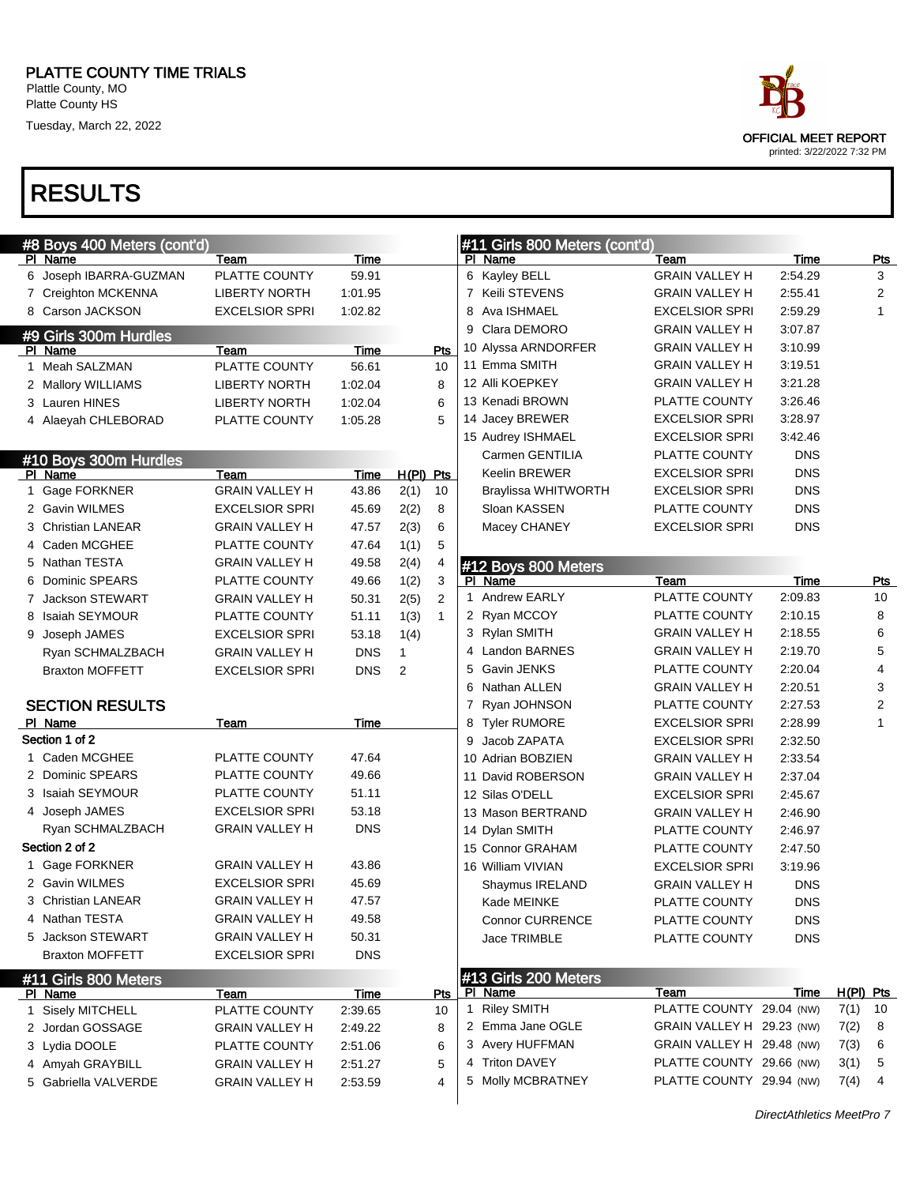# RESULTS

| #8 Boys 400 Meters (cont'd) |                       |             |                        | #11 Girls 800 Meters (cont'd) |                           |            |             |            |
|-----------------------------|-----------------------|-------------|------------------------|-------------------------------|---------------------------|------------|-------------|------------|
| PI Name                     | Team                  | Time        |                        | PI Name                       | Team                      | Time       |             | <b>Pts</b> |
| 6 Joseph IBARRA-GUZMAN      | PLATTE COUNTY         | 59.91       |                        | 6 Kayley BELL                 | <b>GRAIN VALLEY H</b>     | 2:54.29    |             | 3          |
| 7 Creighton MCKENNA         | <b>LIBERTY NORTH</b>  | 1:01.95     |                        | 7 Keili STEVENS               | <b>GRAIN VALLEY H</b>     | 2:55.41    |             | 2          |
| 8 Carson JACKSON            | <b>EXCELSIOR SPRI</b> | 1:02.82     |                        | Ava ISHMAEL<br>8              | <b>EXCELSIOR SPRI</b>     | 2:59.29    |             | 1          |
| #9 Girls 300m Hurdles       |                       |             |                        | Clara DEMORO<br>9             | <b>GRAIN VALLEY H</b>     | 3:07.87    |             |            |
| PI Name                     | Team                  | Time        | Pts                    | 10 Alyssa ARNDORFER           | <b>GRAIN VALLEY H</b>     | 3:10.99    |             |            |
| 1 Meah SALZMAN              | PLATTE COUNTY         | 56.61       | 10                     | 11 Emma SMITH                 | <b>GRAIN VALLEY H</b>     | 3:19.51    |             |            |
| 2 Mallory WILLIAMS          | <b>LIBERTY NORTH</b>  | 1:02.04     | 8                      | 12 Alli KOEPKEY               | <b>GRAIN VALLEY H</b>     | 3:21.28    |             |            |
| 3 Lauren HINES              | <b>LIBERTY NORTH</b>  | 1:02.04     | 6                      | 13 Kenadi BROWN               | PLATTE COUNTY             | 3:26.46    |             |            |
| 4 Alaeyah CHLEBORAD         | PLATTE COUNTY         | 1:05.28     | 5                      | 14 Jacey BREWER               | <b>EXCELSIOR SPRI</b>     | 3:28.97    |             |            |
|                             |                       |             |                        | 15 Audrey ISHMAEL             | <b>EXCELSIOR SPRI</b>     | 3:42.46    |             |            |
| #10 Boys 300m Hurdles       |                       |             |                        | Carmen GENTILIA               | PLATTE COUNTY             | <b>DNS</b> |             |            |
| PI Name                     | Team                  | Time        | H(PI) Pts              | <b>Keelin BREWER</b>          | <b>EXCELSIOR SPRI</b>     | <b>DNS</b> |             |            |
| 1 Gage FORKNER              | <b>GRAIN VALLEY H</b> | 43.86       | 10<br>2(1)             | <b>Braylissa WHITWORTH</b>    | <b>EXCELSIOR SPRI</b>     | <b>DNS</b> |             |            |
| 2 Gavin WILMES              | <b>EXCELSIOR SPRI</b> | 45.69       | 2(2)<br>8              | Sloan KASSEN                  | PLATTE COUNTY             | <b>DNS</b> |             |            |
| 3 Christian LANEAR          | <b>GRAIN VALLEY H</b> | 47.57       | 2(3)<br>6              | Macey CHANEY                  | <b>EXCELSIOR SPRI</b>     | <b>DNS</b> |             |            |
| 4 Caden MCGHEE              | PLATTE COUNTY         | 47.64       | 5<br>1(1)              |                               |                           |            |             |            |
| 5 Nathan TESTA              | <b>GRAIN VALLEY H</b> | 49.58       | 2(4)                   | #12 Boys 800 Meters           |                           |            |             |            |
| 6 Dominic SPEARS            | PLATTE COUNTY         | 49.66       | 1(2)<br>3              | PI Name                       | Team                      | Time       |             | <b>Pts</b> |
| 7 Jackson STEWART           | <b>GRAIN VALLEY H</b> | 50.31       | $\overline{2}$<br>2(5) | 1 Andrew EARLY                | PLATTE COUNTY             | 2:09.83    |             | 10         |
| 8 Isaiah SEYMOUR            | PLATTE COUNTY         | 51.11       | 1(3)<br>$\mathbf{1}$   | 2 Ryan MCCOY                  | PLATTE COUNTY             | 2:10.15    |             | 8          |
| 9 Joseph JAMES              | <b>EXCELSIOR SPRI</b> | 53.18       | 1(4)                   | 3 Rylan SMITH                 | <b>GRAIN VALLEY H</b>     | 2:18.55    |             | 6          |
| Ryan SCHMALZBACH            | <b>GRAIN VALLEY H</b> | <b>DNS</b>  | $\mathbf{1}$           | 4 Landon BARNES               | <b>GRAIN VALLEY H</b>     | 2:19.70    |             | 5          |
| <b>Braxton MOFFETT</b>      | <b>EXCELSIOR SPRI</b> | <b>DNS</b>  | 2                      | 5 Gavin JENKS                 | PLATTE COUNTY             | 2:20.04    |             | 4          |
|                             |                       |             |                        | 6 Nathan ALLEN                | <b>GRAIN VALLEY H</b>     | 2:20.51    |             | 3          |
| <b>SECTION RESULTS</b>      |                       |             |                        | 7 Ryan JOHNSON                | PLATTE COUNTY             | 2:27.53    |             | 2          |
| PI Name                     | Team                  | <b>Time</b> |                        | <b>Tyler RUMORE</b><br>8      | <b>EXCELSIOR SPRI</b>     | 2:28.99    |             | 1          |
| Section 1 of 2              |                       |             |                        | Jacob ZAPATA<br>9             | <b>EXCELSIOR SPRI</b>     | 2:32.50    |             |            |
| 1 Caden MCGHEE              | PLATTE COUNTY         | 47.64       |                        | 10 Adrian BOBZIEN             | <b>GRAIN VALLEY H</b>     | 2:33.54    |             |            |
| 2 Dominic SPEARS            | PLATTE COUNTY         | 49.66       |                        | 11 David ROBERSON             | <b>GRAIN VALLEY H</b>     | 2:37.04    |             |            |
| 3 Isaiah SEYMOUR            | PLATTE COUNTY         | 51.11       |                        | 12 Silas O'DELL               | <b>EXCELSIOR SPRI</b>     | 2:45.67    |             |            |
| 4 Joseph JAMES              | <b>EXCELSIOR SPRI</b> | 53.18       |                        | 13 Mason BERTRAND             | <b>GRAIN VALLEY H</b>     | 2:46.90    |             |            |
| Ryan SCHMALZBACH            | <b>GRAIN VALLEY H</b> | <b>DNS</b>  |                        | 14 Dylan SMITH                | PLATTE COUNTY             | 2:46.97    |             |            |
| Section 2 of 2              |                       |             |                        | 15 Connor GRAHAM              | PLATTE COUNTY             | 2:47.50    |             |            |
| 1 Gage FORKNER              | <b>GRAIN VALLEY H</b> | 43.86       |                        | 16 William VIVIAN             | <b>EXCELSIOR SPRI</b>     | 3:19.96    |             |            |
| 2 Gavin WILMES              | <b>EXCELSIOR SPRI</b> | 45.69       |                        | Shaymus IRELAND               | <b>GRAIN VALLEY H</b>     | <b>DNS</b> |             |            |
| 3 Christian LANEAR          | <b>GRAIN VALLEY H</b> | 47.57       |                        | Kade MEINKE                   | PLATTE COUNTY             | <b>DNS</b> |             |            |
| 4 Nathan TESTA              | <b>GRAIN VALLEY H</b> | 49.58       |                        | <b>Connor CURRENCE</b>        | PLATTE COUNTY             | <b>DNS</b> |             |            |
| 5 Jackson STEWART           | <b>GRAIN VALLEY H</b> | 50.31       |                        | Jace TRIMBLE                  | PLATTE COUNTY             | <b>DNS</b> |             |            |
| <b>Braxton MOFFETT</b>      | <b>EXCELSIOR SPRI</b> | <b>DNS</b>  |                        |                               |                           |            |             |            |
| #11 Girls 800 Meters        |                       |             |                        | #13 Girls 200 Meters          |                           |            |             |            |
| PI Name                     | Team                  | <b>Time</b> | Pts                    | PI Name                       | Team                      | Time       | $H(PI)$ Pts |            |
| 1 Sisely MITCHELL           | PLATTE COUNTY         | 2:39.65     | 10                     | 1 Riley SMITH                 | PLATTE COUNTY 29.04 (NW)  |            | 7(1)        | 10         |
| 2 Jordan GOSSAGE            | <b>GRAIN VALLEY H</b> | 2:49.22     | 8                      | 2 Emma Jane OGLE              | GRAIN VALLEY H 29.23 (NW) |            | 7(2)        | 8          |
| 3 Lydia DOOLE               | PLATTE COUNTY         | 2:51.06     | 6                      | 3 Avery HUFFMAN               | GRAIN VALLEY H 29.48 (NW) |            | 7(3)        | 6          |
| 4 Amyah GRAYBILL            | <b>GRAIN VALLEY H</b> | 2:51.27     | 5                      | 4 Triton DAVEY                | PLATTE COUNTY 29.66 (NW)  |            | 3(1)        | 5          |
| 5 Gabriella VALVERDE        | <b>GRAIN VALLEY H</b> | 2:53.59     | 4                      | 5 Molly MCBRATNEY             | PLATTE COUNTY 29.94 (NW)  |            | 7(4)        | 4          |

OFFICIAL MEET REPORT printed: 3/22/2022 7:32 PM

DirectAthletics MeetPro 7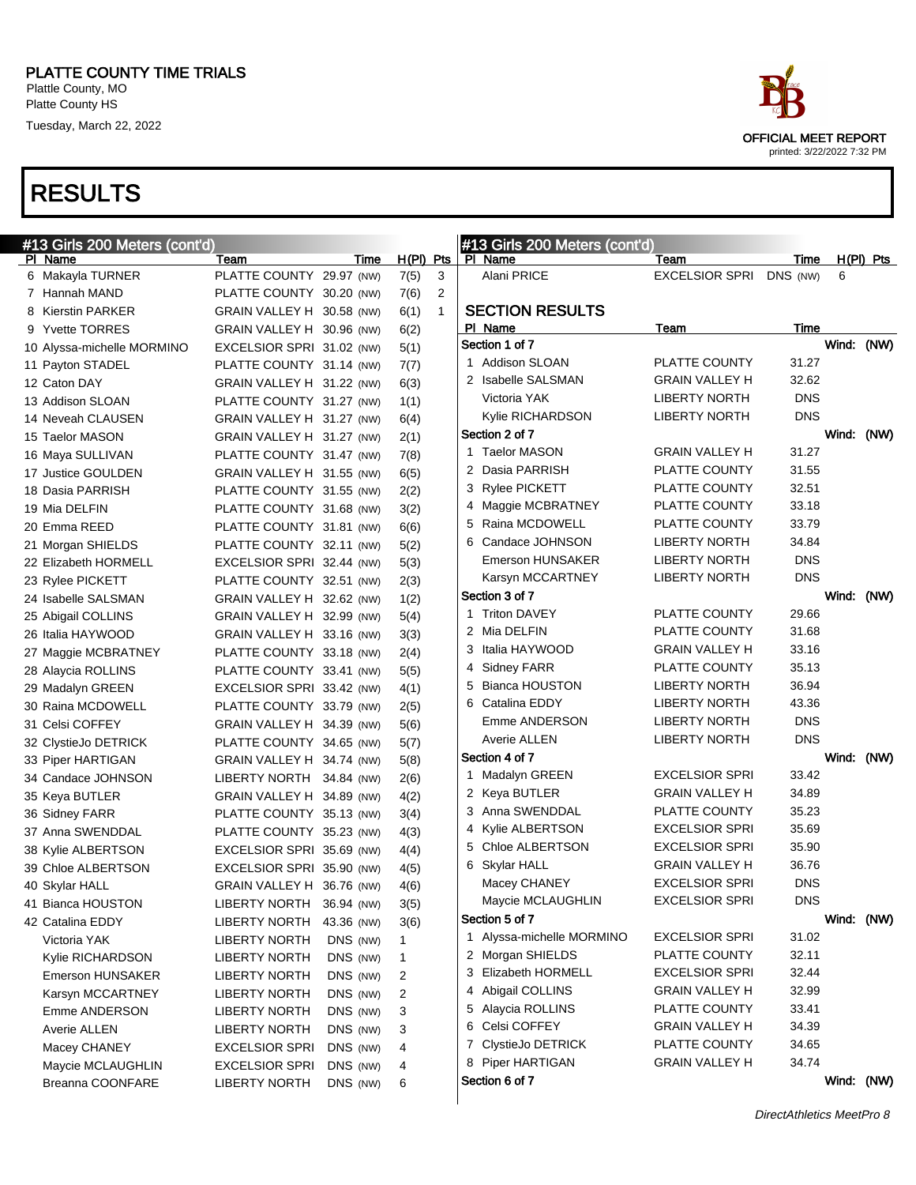

| #13 Girls 200 Meters (cont'd) |                           |            |                      | #13 Girls 200 Meters (cont'd) |                       |            |             |
|-------------------------------|---------------------------|------------|----------------------|-------------------------------|-----------------------|------------|-------------|
| PI Name                       | Team                      | Time       | $H(PI)$ Pts          | PI Name                       | Team                  | Time       | $H(PI)$ Pts |
| 6 Makayla TURNER              | PLATTE COUNTY 29.97 (NW)  |            | 3<br>7(5)            | Alani PRICE                   | <b>EXCELSIOR SPRI</b> | DNS (NW)   | 6           |
| 7 Hannah MAND                 | PLATTE COUNTY 30.20 (NW)  |            | 2<br>7(6)            |                               |                       |            |             |
| 8 Kierstin PARKER             | GRAIN VALLEY H 30.58 (NW) |            | 6(1)<br>$\mathbf{1}$ | <b>SECTION RESULTS</b>        |                       |            |             |
| 9 Yvette TORRES               | GRAIN VALLEY H 30.96 (NW) |            | 6(2)                 | PI Name                       | Team                  | Time       |             |
| 10 Alyssa-michelle MORMINO    | EXCELSIOR SPRI 31.02 (NW) |            | 5(1)                 | Section 1 of 7                |                       |            | Wind: (NW)  |
| 11 Payton STADEL              | PLATTE COUNTY 31.14 (NW)  |            | 7(7)                 | 1 Addison SLOAN               | PLATTE COUNTY         | 31.27      |             |
| 12 Caton DAY                  | GRAIN VALLEY H 31.22 (NW) |            | 6(3)                 | 2 Isabelle SALSMAN            | <b>GRAIN VALLEY H</b> | 32.62      |             |
| 13 Addison SLOAN              | PLATTE COUNTY 31.27 (NW)  |            | 1(1)                 | Victoria YAK                  | <b>LIBERTY NORTH</b>  | <b>DNS</b> |             |
| 14 Neveah CLAUSEN             | GRAIN VALLEY H 31.27 (NW) |            | 6(4)                 | Kylie RICHARDSON              | <b>LIBERTY NORTH</b>  | <b>DNS</b> |             |
| 15 Taelor MASON               | GRAIN VALLEY H 31.27 (NW) |            | 2(1)                 | Section 2 of 7                |                       |            | Wind: (NW)  |
| 16 Maya SULLIVAN              | PLATTE COUNTY 31.47 (NW)  |            | 7(8)                 | 1 Taelor MASON                | <b>GRAIN VALLEY H</b> | 31.27      |             |
| 17 Justice GOULDEN            | GRAIN VALLEY H 31.55 (NW) |            | 6(5)                 | 2 Dasia PARRISH               | PLATTE COUNTY         | 31.55      |             |
| 18 Dasia PARRISH              | PLATTE COUNTY 31.55 (NW)  |            | 2(2)                 | 3 Rylee PICKETT               | PLATTE COUNTY         | 32.51      |             |
| 19 Mia DELFIN                 | PLATTE COUNTY 31.68 (NW)  |            | 3(2)                 | 4 Maggie MCBRATNEY            | PLATTE COUNTY         | 33.18      |             |
| 20 Emma REED                  | PLATTE COUNTY 31.81 (NW)  |            | 6(6)                 | 5 Raina MCDOWELL              | PLATTE COUNTY         | 33.79      |             |
| 21 Morgan SHIELDS             | PLATTE COUNTY 32.11 (NW)  |            | 5(2)                 | 6 Candace JOHNSON             | <b>LIBERTY NORTH</b>  | 34.84      |             |
| 22 Elizabeth HORMELL          | EXCELSIOR SPRI 32.44 (NW) |            | 5(3)                 | <b>Emerson HUNSAKER</b>       | <b>LIBERTY NORTH</b>  | <b>DNS</b> |             |
| 23 Rylee PICKETT              | PLATTE COUNTY 32.51 (NW)  |            | 2(3)                 | Karsyn MCCARTNEY              | <b>LIBERTY NORTH</b>  | <b>DNS</b> |             |
| 24 Isabelle SALSMAN           | GRAIN VALLEY H 32.62 (NW) |            | 1(2)                 | Section 3 of 7                |                       |            | Wind: (NW)  |
| 25 Abigail COLLINS            | GRAIN VALLEY H 32.99 (NW) |            | 5(4)                 | 1 Triton DAVEY                | PLATTE COUNTY         | 29.66      |             |
| 26 Italia HAYWOOD             | GRAIN VALLEY H 33.16 (NW) |            | 3(3)                 | 2 Mia DELFIN                  | PLATTE COUNTY         | 31.68      |             |
| 27 Maggie MCBRATNEY           | PLATTE COUNTY 33.18 (NW)  |            | 2(4)                 | 3 Italia HAYWOOD              | <b>GRAIN VALLEY H</b> | 33.16      |             |
| 28 Alaycia ROLLINS            | PLATTE COUNTY 33.41 (NW)  |            | 5(5)                 | 4 Sidney FARR                 | PLATTE COUNTY         | 35.13      |             |
| 29 Madalyn GREEN              | EXCELSIOR SPRI 33.42 (NW) |            | 4(1)                 | 5 Bianca HOUSTON              | <b>LIBERTY NORTH</b>  | 36.94      |             |
| 30 Raina MCDOWELL             | PLATTE COUNTY 33.79 (NW)  |            | 2(5)                 | 6 Catalina EDDY               | <b>LIBERTY NORTH</b>  | 43.36      |             |
| 31 Celsi COFFEY               | GRAIN VALLEY H 34.39 (NW) |            | 5(6)                 | Emme ANDERSON                 | <b>LIBERTY NORTH</b>  | <b>DNS</b> |             |
| 32 ClystieJo DETRICK          | PLATTE COUNTY 34.65 (NW)  |            | 5(7)                 | Averie ALLEN                  | <b>LIBERTY NORTH</b>  | <b>DNS</b> |             |
| 33 Piper HARTIGAN             | GRAIN VALLEY H 34.74 (NW) |            | 5(8)                 | Section 4 of 7                |                       |            | Wind: (NW)  |
| 34 Candace JOHNSON            | LIBERTY NORTH 34.84 (NW)  |            | 2(6)                 | 1 Madalyn GREEN               | EXCELSIOR SPRI        | 33.42      |             |
| 35 Keya BUTLER                | GRAIN VALLEY H 34.89 (NW) |            | 4(2)                 | 2 Keya BUTLER                 | <b>GRAIN VALLEY H</b> | 34.89      |             |
| 36 Sidney FARR                | PLATTE COUNTY 35.13 (NW)  |            | 3(4)                 | 3 Anna SWENDDAL               | PLATTE COUNTY         | 35.23      |             |
| 37 Anna SWENDDAL              | PLATTE COUNTY 35.23 (NW)  |            | 4(3)                 | 4 Kylie ALBERTSON             | <b>EXCELSIOR SPRI</b> | 35.69      |             |
| 38 Kylie ALBERTSON            | EXCELSIOR SPRI 35.69 (NW) |            | 4(4)                 | 5 Chloe ALBERTSON             | <b>EXCELSIOR SPRI</b> | 35.90      |             |
| 39 Chloe ALBERTSON            | EXCELSIOR SPRI 35.90 (NW) |            | 4(5)                 | 6 Skylar HALL                 | <b>GRAIN VALLEY H</b> | 36.76      |             |
| 40 Skylar HALL                | GRAIN VALLEY H 36.76 (NW) |            | 4(6)                 | Macey CHANEY                  | EXCELSIOR SPRI        | <b>DNS</b> |             |
| 41 Bianca HOUSTON             | <b>LIBERTY NORTH</b>      | 36.94 (NW) | 3(5)                 | Maycie MCLAUGHLIN             | <b>EXCELSIOR SPRI</b> | <b>DNS</b> |             |
| 42 Catalina EDDY              | <b>LIBERTY NORTH</b>      | 43.36 (NW) | 3(6)                 | Section 5 of 7                |                       |            | Wind: (NW)  |
| Victoria YAK                  | <b>LIBERTY NORTH</b>      | DNS (NW)   | 1                    | 1 Alyssa-michelle MORMINO     | <b>EXCELSIOR SPRI</b> | 31.02      |             |
| Kylie RICHARDSON              | <b>LIBERTY NORTH</b>      | DNS (NW)   | 1                    | 2 Morgan SHIELDS              | PLATTE COUNTY         | 32.11      |             |
| <b>Emerson HUNSAKER</b>       | <b>LIBERTY NORTH</b>      | DNS (NW)   | 2                    | 3 Elizabeth HORMELL           | <b>EXCELSIOR SPRI</b> | 32.44      |             |
| Karsyn MCCARTNEY              | <b>LIBERTY NORTH</b>      | DNS (NW)   | $\overline{2}$       | 4 Abigail COLLINS             | <b>GRAIN VALLEY H</b> | 32.99      |             |
| Emme ANDERSON                 | <b>LIBERTY NORTH</b>      | DNS (NW)   | 3                    | 5 Alaycia ROLLINS             | PLATTE COUNTY         | 33.41      |             |
| Averie ALLEN                  | <b>LIBERTY NORTH</b>      | DNS (NW)   | 3                    | 6 Celsi COFFEY                | <b>GRAIN VALLEY H</b> | 34.39      |             |
| Macey CHANEY                  | <b>EXCELSIOR SPRI</b>     | DNS (NW)   | 4                    | 7 ClystieJo DETRICK           | PLATTE COUNTY         | 34.65      |             |
| Maycie MCLAUGHLIN             | <b>EXCELSIOR SPRI</b>     | DNS (NW)   | 4                    | 8 Piper HARTIGAN              | <b>GRAIN VALLEY H</b> | 34.74      |             |
| Breanna COONFARE              | <b>LIBERTY NORTH</b>      | DNS (NW)   | 6                    | Section 6 of 7                |                       |            | Wind: (NW)  |
|                               |                           |            |                      |                               |                       |            |             |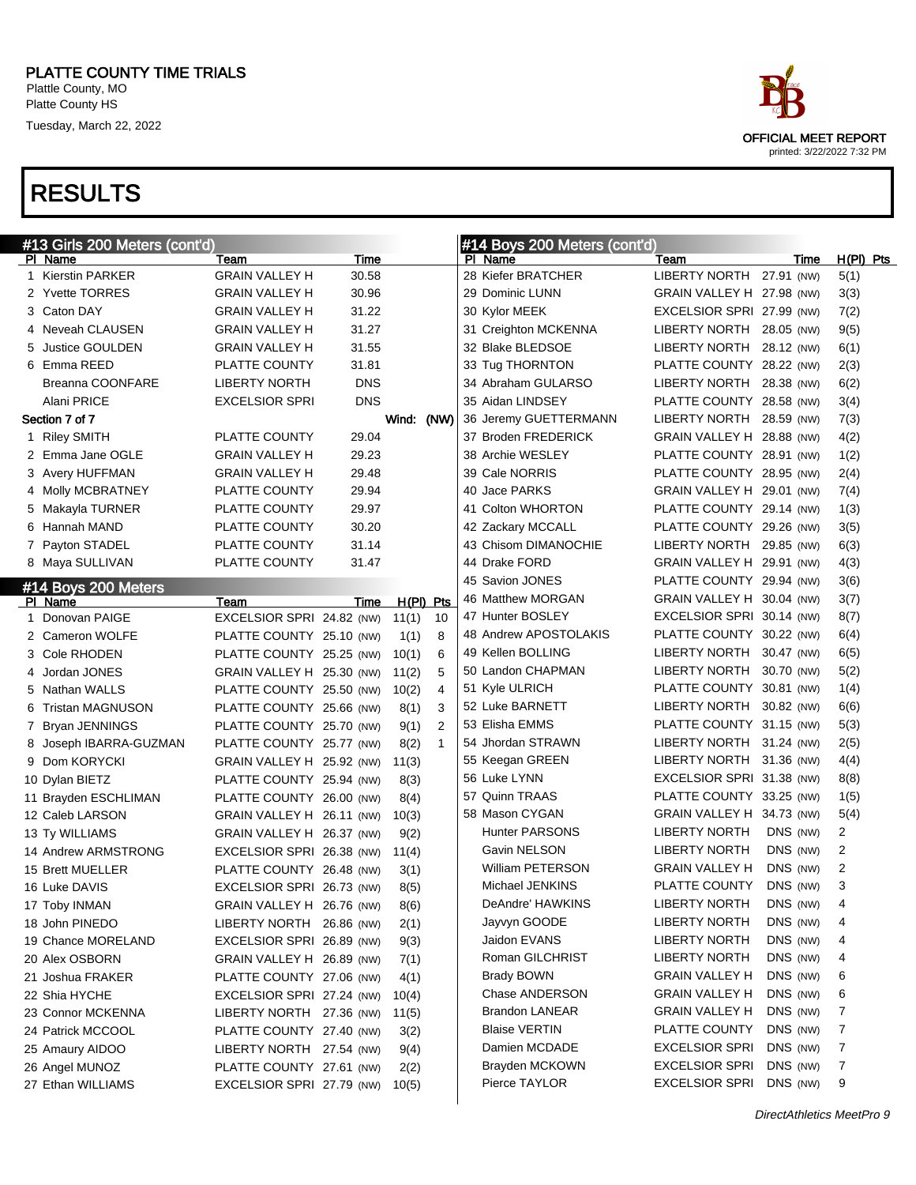Platte County HS

Tuesday, March 22, 2022

# OFFICIAL MEET REPORT printed: 3/22/2022 7:32 PM

| #13 Girls 200 Meters (cont'd) |                           |            |           |                | #14 Boys 200 Meters (cont'd) |                           |            |             |
|-------------------------------|---------------------------|------------|-----------|----------------|------------------------------|---------------------------|------------|-------------|
| PI Name                       | Team                      | Time       |           |                | PI Name                      | Team                      | Time       | $H(PI)$ Pts |
| 1 Kierstin PARKER             | <b>GRAIN VALLEY H</b>     | 30.58      |           |                | 28 Kiefer BRATCHER           | <b>LIBERTY NORTH</b>      | 27.91 (NW) | 5(1)        |
| 2 Yvette TORRES               | <b>GRAIN VALLEY H</b>     | 30.96      |           |                | 29 Dominic LUNN              | GRAIN VALLEY H 27.98 (NW) |            | 3(3)        |
| 3 Caton DAY                   | <b>GRAIN VALLEY H</b>     | 31.22      |           |                | 30 Kylor MEEK                | EXCELSIOR SPRI 27.99 (NW) |            | 7(2)        |
| 4 Neveah CLAUSEN              | <b>GRAIN VALLEY H</b>     | 31.27      |           |                | 31 Creighton MCKENNA         | LIBERTY NORTH             | 28.05 (NW) | 9(5)        |
| 5 Justice GOULDEN             | <b>GRAIN VALLEY H</b>     | 31.55      |           |                | 32 Blake BLEDSOE             | LIBERTY NORTH             | 28.12 (NW) | 6(1)        |
| 6 Emma REED                   | PLATTE COUNTY             | 31.81      |           |                | 33 Tug THORNTON              | PLATTE COUNTY 28.22 (NW)  |            | 2(3)        |
| Breanna COONFARE              | <b>LIBERTY NORTH</b>      | <b>DNS</b> |           |                | 34 Abraham GULARSO           | LIBERTY NORTH             | 28.38 (NW) | 6(2)        |
| Alani PRICE                   | <b>EXCELSIOR SPRI</b>     | <b>DNS</b> |           |                | 35 Aidan LINDSEY             | PLATTE COUNTY 28.58 (NW)  |            | 3(4)        |
| Section 7 of 7                |                           |            | Wind:     | (NW)           | 36 Jeremy GUETTERMANN        | LIBERTY NORTH             | 28.59 (NW) | 7(3)        |
| 1 Riley SMITH                 | <b>PLATTE COUNTY</b>      | 29.04      |           |                | 37 Broden FREDERICK          | GRAIN VALLEY H 28.88 (NW) |            | 4(2)        |
| 2 Emma Jane OGLE              | <b>GRAIN VALLEY H</b>     | 29.23      |           |                | 38 Archie WESLEY             | PLATTE COUNTY 28.91 (NW)  |            | 1(2)        |
| 3 Avery HUFFMAN               | <b>GRAIN VALLEY H</b>     | 29.48      |           |                | 39 Cale NORRIS               | PLATTE COUNTY 28.95 (NW)  |            | 2(4)        |
| 4 Molly MCBRATNEY             | PLATTE COUNTY             | 29.94      |           |                | 40 Jace PARKS                | GRAIN VALLEY H 29.01 (NW) |            | 7(4)        |
| 5 Makayla TURNER              | PLATTE COUNTY             | 29.97      |           |                | 41 Colton WHORTON            | PLATTE COUNTY 29.14 (NW)  |            | 1(3)        |
| 6 Hannah MAND                 | PLATTE COUNTY             | 30.20      |           |                | 42 Zackary MCCALL            | PLATTE COUNTY 29.26 (NW)  |            | 3(5)        |
| 7 Payton STADEL               | PLATTE COUNTY             | 31.14      |           |                | 43 Chisom DIMANOCHIE         | LIBERTY NORTH             | 29.85 (NW) | 6(3)        |
| 8 Maya SULLIVAN               | PLATTE COUNTY             | 31.47      |           |                | 44 Drake FORD                | GRAIN VALLEY H 29.91 (NW) |            | 4(3)        |
| #14 Boys 200 Meters           |                           |            |           |                | 45 Savion JONES              | PLATTE COUNTY 29.94 (NW)  |            | 3(6)        |
| PI Name                       | Team                      | Time       | H(PI) Pts |                | 46 Matthew MORGAN            | GRAIN VALLEY H 30.04 (NW) |            | 3(7)        |
| 1 Donovan PAIGE               | EXCELSIOR SPRI 24.82 (NW) |            | 11(1)     | 10             | 47 Hunter BOSLEY             | EXCELSIOR SPRI 30.14 (NW) |            | 8(7)        |
| 2 Cameron WOLFE               | PLATTE COUNTY 25.10 (NW)  |            | 1(1)      | 8              | 48 Andrew APOSTOLAKIS        | PLATTE COUNTY 30.22 (NW)  |            | 6(4)        |
| 3 Cole RHODEN                 | PLATTE COUNTY 25.25 (NW)  |            | 10(1)     | 6              | 49 Kellen BOLLING            | LIBERTY NORTH             | 30.47 (NW) | 6(5)        |
| 4 Jordan JONES                | GRAIN VALLEY H 25.30 (NW) |            | 11(2)     | 5              | 50 Landon CHAPMAN            | LIBERTY NORTH             | 30.70 (NW) | 5(2)        |
| 5 Nathan WALLS                | PLATTE COUNTY 25.50 (NW)  |            | 10(2)     | $\overline{4}$ | 51 Kyle ULRICH               | PLATTE COUNTY 30.81 (NW)  |            | 1(4)        |
| 6 Tristan MAGNUSON            | PLATTE COUNTY 25.66 (NW)  |            | 8(1)      | 3              | 52 Luke BARNETT              | LIBERTY NORTH             | 30.82 (NW) | 6(6)        |
| 7 Bryan JENNINGS              | PLATTE COUNTY 25.70 (NW)  |            | 9(1)      | $\overline{2}$ | 53 Elisha EMMS               | PLATTE COUNTY 31.15 (NW)  |            | 5(3)        |
| 8 Joseph IBARRA-GUZMAN        | PLATTE COUNTY 25.77 (NW)  |            | 8(2)      | $\mathbf{1}$   | 54 Jhordan STRAWN            | LIBERTY NORTH             | 31.24 (NW) | 2(5)        |
| 9 Dom KORYCKI                 | GRAIN VALLEY H 25.92 (NW) |            | 11(3)     |                | 55 Keegan GREEN              | LIBERTY NORTH             | 31.36 (NW) | 4(4)        |
| 10 Dylan BIETZ                | PLATTE COUNTY 25.94 (NW)  |            | 8(3)      |                | 56 Luke LYNN                 | EXCELSIOR SPRI 31.38 (NW) |            | 8(8)        |
| 11 Brayden ESCHLIMAN          | PLATTE COUNTY 26.00 (NW)  |            | 8(4)      |                | 57 Quinn TRAAS               | PLATTE COUNTY 33.25 (NW)  |            | 1(5)        |
| 12 Caleb LARSON               | GRAIN VALLEY H 26.11 (NW) |            | 10(3)     |                | 58 Mason CYGAN               | GRAIN VALLEY H 34.73 (NW) |            | 5(4)        |
| 13 Ty WILLIAMS                | GRAIN VALLEY H 26.37 (NW) |            | 9(2)      |                | <b>Hunter PARSONS</b>        | <b>LIBERTY NORTH</b>      | DNS (NW)   | 2           |
| 14 Andrew ARMSTRONG           | EXCELSIOR SPRI 26.38 (NW) |            | 11(4)     |                | Gavin NELSON                 | LIBERTY NORTH             | DNS (NW)   | 2           |
| 15 Brett MUELLER              | PLATTE COUNTY 26.48 (NW)  |            | 3(1)      |                | William PETERSON             | <b>GRAIN VALLEY H</b>     | DNS (NW)   | 2           |
| 16 Luke DAVIS                 | EXCELSIOR SPRI 26.73 (NW) |            | 8(5)      |                | Michael JENKINS              | <b>PLATTE COUNTY</b>      | DNS (NW)   | 3           |
| 17 Toby INMAN                 | GRAIN VALLEY H 26.76 (NW) |            | 8(6)      |                | DeAndre' HAWKINS             | LIBERTY NORTH             | DNS (NW)   | 4           |
| 18 John PINEDO                | LIBERTY NORTH 26.86 (NW)  |            | 2(1)      |                | Jayvyn GOODE                 | LIBERTY NORTH             | DNS (NW)   | 4           |
| 19 Chance MORELAND            | EXCELSIOR SPRI 26.89 (NW) |            | 9(3)      |                | Jaidon EVANS                 | <b>LIBERTY NORTH</b>      | DNS (NW)   | 4           |
| 20 Alex OSBORN                | GRAIN VALLEY H 26.89 (NW) |            | 7(1)      |                | Roman GILCHRIST              | <b>LIBERTY NORTH</b>      | DNS (NW)   | 4           |
| 21 Joshua FRAKER              | PLATTE COUNTY 27.06 (NW)  |            | 4(1)      |                | Brady BOWN                   | <b>GRAIN VALLEY H</b>     | DNS (NW)   | 6           |
| 22 Shia HYCHE                 | EXCELSIOR SPRI 27.24 (NW) |            | 10(4)     |                | Chase ANDERSON               | <b>GRAIN VALLEY H</b>     | DNS (NW)   | 6           |
| 23 Connor MCKENNA             | LIBERTY NORTH 27.36 (NW)  |            | 11(5)     |                | <b>Brandon LANEAR</b>        | <b>GRAIN VALLEY H</b>     | DNS (NW)   | 7           |
| 24 Patrick MCCOOL             | PLATTE COUNTY 27.40 (NW)  |            | 3(2)      |                | <b>Blaise VERTIN</b>         | PLATTE COUNTY             | DNS (NW)   | 7           |
| 25 Amaury AIDOO               | LIBERTY NORTH 27.54 (NW)  |            | 9(4)      |                | Damien MCDADE                | <b>EXCELSIOR SPRI</b>     | DNS (NW)   | 7           |
| 26 Angel MUNOZ                | PLATTE COUNTY 27.61 (NW)  |            | 2(2)      |                | Brayden MCKOWN               | <b>EXCELSIOR SPRI</b>     | DNS (NW)   | 7           |
| 27 Ethan WILLIAMS             | EXCELSIOR SPRI 27.79 (NW) |            | 10(5)     |                | Pierce TAYLOR                | EXCELSIOR SPRI            | DNS (NW)   | 9           |
|                               |                           |            |           |                |                              |                           |            |             |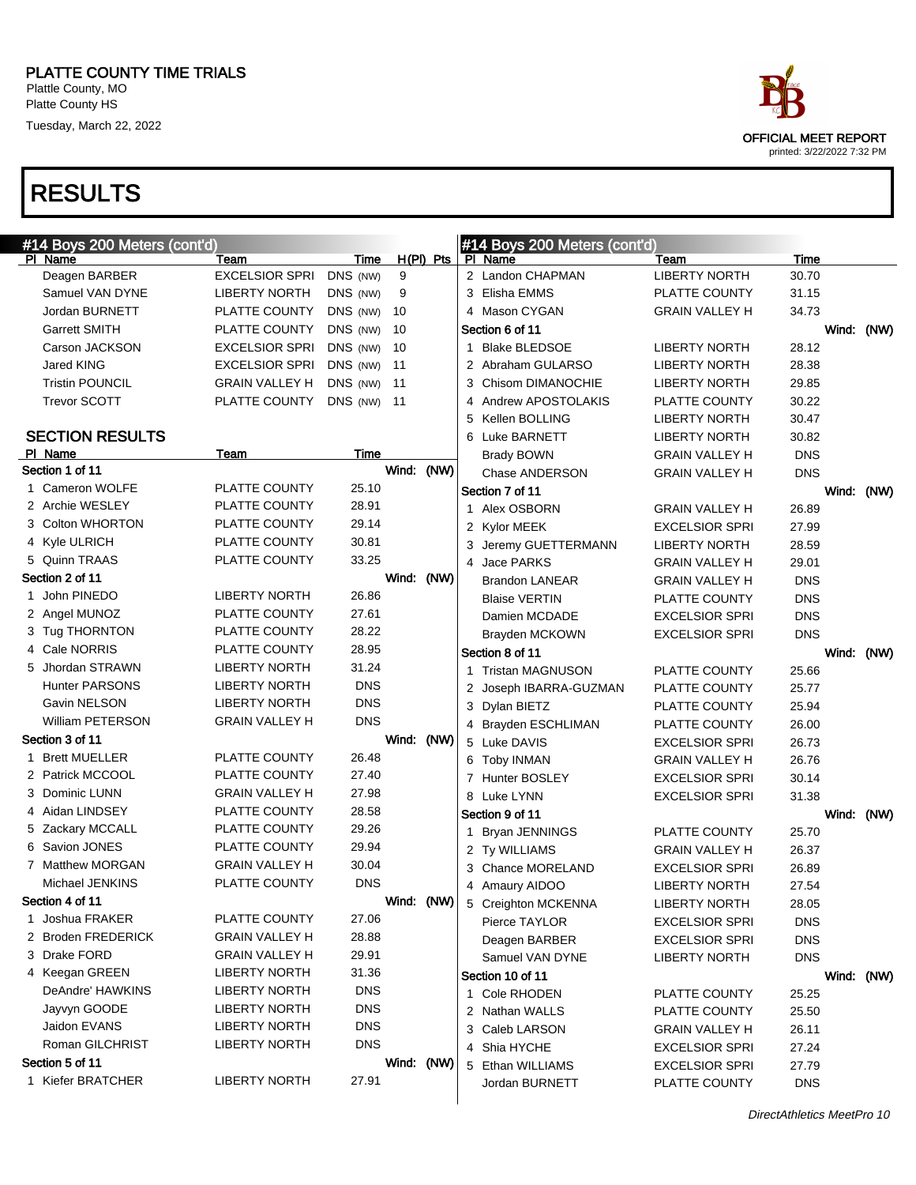#### PLATTE COUNTY TIME TRIALS Plattle County, MO

Platte County HS

Tuesday, March 22, 2022

| race                                                      |
|-----------------------------------------------------------|
| <b>OFFICIAL MEET REPORT</b><br>printed: 3/22/2022 7:32 PM |
|                                                           |

| #14 Boys 200 Meters (cont'd) |                       |            |            |             |   | #14 Boys 200 Meters (cont'd) |                       |            |            |  |
|------------------------------|-----------------------|------------|------------|-------------|---|------------------------------|-----------------------|------------|------------|--|
| PI Name                      | Team                  | Time       |            | $H(PI)$ Pts |   | PI Name                      | Team                  | Time       |            |  |
| Deagen BARBER                | <b>EXCELSIOR SPRI</b> | DNS (NW)   | 9          |             |   | 2 Landon CHAPMAN             | <b>LIBERTY NORTH</b>  | 30.70      |            |  |
| Samuel VAN DYNE              | <b>LIBERTY NORTH</b>  | DNS (NW)   | 9          |             |   | 3 Elisha EMMS                | PLATTE COUNTY         | 31.15      |            |  |
| Jordan BURNETT               | PLATTE COUNTY         | DNS (NW)   | 10         |             |   | 4 Mason CYGAN                | <b>GRAIN VALLEY H</b> | 34.73      |            |  |
| <b>Garrett SMITH</b>         | PLATTE COUNTY         | DNS (NW)   | 10         |             |   | Section 6 of 11              |                       |            | Wind: (NW) |  |
| Carson JACKSON               | <b>EXCELSIOR SPRI</b> | DNS (NW)   | 10         |             | 1 | <b>Blake BLEDSOE</b>         | <b>LIBERTY NORTH</b>  | 28.12      |            |  |
| Jared KING                   | <b>EXCELSIOR SPRI</b> | DNS (NW)   | 11         |             |   | 2 Abraham GULARSO            | <b>LIBERTY NORTH</b>  | 28.38      |            |  |
| <b>Tristin POUNCIL</b>       | <b>GRAIN VALLEY H</b> | DNS (NW)   | 11         |             |   | 3 Chisom DIMANOCHIE          | <b>LIBERTY NORTH</b>  | 29.85      |            |  |
| <b>Trevor SCOTT</b>          | PLATTE COUNTY         | DNS (NW)   | - 11       |             |   | 4 Andrew APOSTOLAKIS         | PLATTE COUNTY         | 30.22      |            |  |
|                              |                       |            |            |             |   | 5 Kellen BOLLING             | <b>LIBERTY NORTH</b>  | 30.47      |            |  |
| <b>SECTION RESULTS</b>       |                       |            |            |             |   | 6 Luke BARNETT               | <b>LIBERTY NORTH</b>  | 30.82      |            |  |
| PI Name                      | Team                  | Time       |            |             |   | <b>Brady BOWN</b>            | <b>GRAIN VALLEY H</b> | <b>DNS</b> |            |  |
| Section 1 of 11              |                       |            | Wind:      | (NW)        |   | Chase ANDERSON               | <b>GRAIN VALLEY H</b> | <b>DNS</b> |            |  |
| 1 Cameron WOLFE              | PLATTE COUNTY         | 25.10      |            |             |   | Section 7 of 11              |                       |            | Wind: (NW) |  |
| 2 Archie WESLEY              | PLATTE COUNTY         | 28.91      |            |             |   | 1 Alex OSBORN                | <b>GRAIN VALLEY H</b> | 26.89      |            |  |
| 3 Colton WHORTON             | PLATTE COUNTY         | 29.14      |            |             |   | 2 Kylor MEEK                 | <b>EXCELSIOR SPRI</b> | 27.99      |            |  |
| 4 Kyle ULRICH                | PLATTE COUNTY         | 30.81      |            |             |   | 3 Jeremy GUETTERMANN         | <b>LIBERTY NORTH</b>  | 28.59      |            |  |
| 5 Quinn TRAAS                | PLATTE COUNTY         | 33.25      |            |             |   | 4 Jace PARKS                 | <b>GRAIN VALLEY H</b> | 29.01      |            |  |
| Section 2 of 11              |                       |            | Wind: (NW) |             |   | <b>Brandon LANEAR</b>        | <b>GRAIN VALLEY H</b> | <b>DNS</b> |            |  |
| 1 John PINEDO                | <b>LIBERTY NORTH</b>  | 26.86      |            |             |   | <b>Blaise VERTIN</b>         | PLATTE COUNTY         | <b>DNS</b> |            |  |
| 2 Angel MUNOZ                | PLATTE COUNTY         | 27.61      |            |             |   | Damien MCDADE                | <b>EXCELSIOR SPRI</b> | <b>DNS</b> |            |  |
| 3 Tug THORNTON               | PLATTE COUNTY         | 28.22      |            |             |   | Brayden MCKOWN               | <b>EXCELSIOR SPRI</b> | <b>DNS</b> |            |  |
| 4 Cale NORRIS                | PLATTE COUNTY         | 28.95      |            |             |   | Section 8 of 11              |                       |            | Wind: (NW) |  |
| 5 Jhordan STRAWN             | <b>LIBERTY NORTH</b>  | 31.24      |            |             |   | 1 Tristan MAGNUSON           | PLATTE COUNTY         | 25.66      |            |  |
| <b>Hunter PARSONS</b>        | <b>LIBERTY NORTH</b>  | <b>DNS</b> |            |             |   | 2 Joseph IBARRA-GUZMAN       | PLATTE COUNTY         | 25.77      |            |  |
| Gavin NELSON                 | <b>LIBERTY NORTH</b>  | <b>DNS</b> |            |             |   | 3 Dylan BIETZ                | PLATTE COUNTY         | 25.94      |            |  |
| William PETERSON             | <b>GRAIN VALLEY H</b> | <b>DNS</b> |            |             |   | 4 Brayden ESCHLIMAN          | PLATTE COUNTY         | 26.00      |            |  |
| Section 3 of 11              |                       |            | Wind:      | (NW)        |   | 5 Luke DAVIS                 | <b>EXCELSIOR SPRI</b> | 26.73      |            |  |
| 1 Brett MUELLER              | PLATTE COUNTY         | 26.48      |            |             |   | 6 Toby INMAN                 | <b>GRAIN VALLEY H</b> | 26.76      |            |  |
| 2 Patrick MCCOOL             | PLATTE COUNTY         | 27.40      |            |             |   | 7 Hunter BOSLEY              | <b>EXCELSIOR SPRI</b> | 30.14      |            |  |
| 3 Dominic LUNN               | <b>GRAIN VALLEY H</b> | 27.98      |            |             |   | 8 Luke LYNN                  | <b>EXCELSIOR SPRI</b> | 31.38      |            |  |
| 4 Aidan LINDSEY              | PLATTE COUNTY         | 28.58      |            |             |   | Section 9 of 11              |                       |            | Wind: (NW) |  |
| 5 Zackary MCCALL             | PLATTE COUNTY         | 29.26      |            |             | 1 | <b>Bryan JENNINGS</b>        | PLATTE COUNTY         | 25.70      |            |  |
| 6 Savion JONES               | PLATTE COUNTY         | 29.94      |            |             |   | 2 Ty WILLIAMS                | <b>GRAIN VALLEY H</b> | 26.37      |            |  |
| 7 Matthew MORGAN             | <b>GRAIN VALLEY H</b> | 30.04      |            |             |   | 3 Chance MORELAND            | <b>EXCELSIOR SPRI</b> | 26.89      |            |  |
| Michael JENKINS              | PLATTE COUNTY         | <b>DNS</b> |            |             |   | 4 Amaury AIDOO               | <b>LIBERTY NORTH</b>  | 27.54      |            |  |
| Section 4 of 11              |                       |            | Wind: (NW) |             |   | 5 Creighton MCKENNA          | <b>LIBERTY NORTH</b>  | 28.05      |            |  |
| 1 Joshua FRAKER              | PLATTE COUNTY         | 27.06      |            |             |   | Pierce TAYLOR                | <b>EXCELSIOR SPRI</b> | <b>DNS</b> |            |  |
| 2 Broden FREDERICK           | <b>GRAIN VALLEY H</b> | 28.88      |            |             |   | Deagen BARBER                | <b>EXCELSIOR SPRI</b> | <b>DNS</b> |            |  |
| 3 Drake FORD                 | <b>GRAIN VALLEY H</b> | 29.91      |            |             |   | Samuel VAN DYNE              | <b>LIBERTY NORTH</b>  | <b>DNS</b> |            |  |
| 4 Keegan GREEN               | <b>LIBERTY NORTH</b>  | 31.36      |            |             |   | Section 10 of 11             |                       |            | Wind: (NW) |  |
| DeAndre' HAWKINS             | <b>LIBERTY NORTH</b>  | <b>DNS</b> |            |             |   | 1 Cole RHODEN                | PLATTE COUNTY         |            |            |  |
| Jayvyn GOODE                 | <b>LIBERTY NORTH</b>  | <b>DNS</b> |            |             |   |                              |                       | 25.25      |            |  |
| Jaidon EVANS                 | <b>LIBERTY NORTH</b>  | <b>DNS</b> |            |             |   | 2 Nathan WALLS               | PLATTE COUNTY         | 25.50      |            |  |
| Roman GILCHRIST              | <b>LIBERTY NORTH</b>  | <b>DNS</b> |            |             |   | 3 Caleb LARSON               | <b>GRAIN VALLEY H</b> | 26.11      |            |  |
| Section 5 of 11              |                       |            | Wind: (NW) |             |   | 4 Shia HYCHE                 | <b>EXCELSIOR SPRI</b> | 27.24      |            |  |
| 1 Kiefer BRATCHER            | <b>LIBERTY NORTH</b>  | 27.91      |            |             |   | 5 Ethan WILLIAMS             | <b>EXCELSIOR SPRI</b> | 27.79      |            |  |
|                              |                       |            |            |             |   | Jordan BURNETT               | PLATTE COUNTY         | <b>DNS</b> |            |  |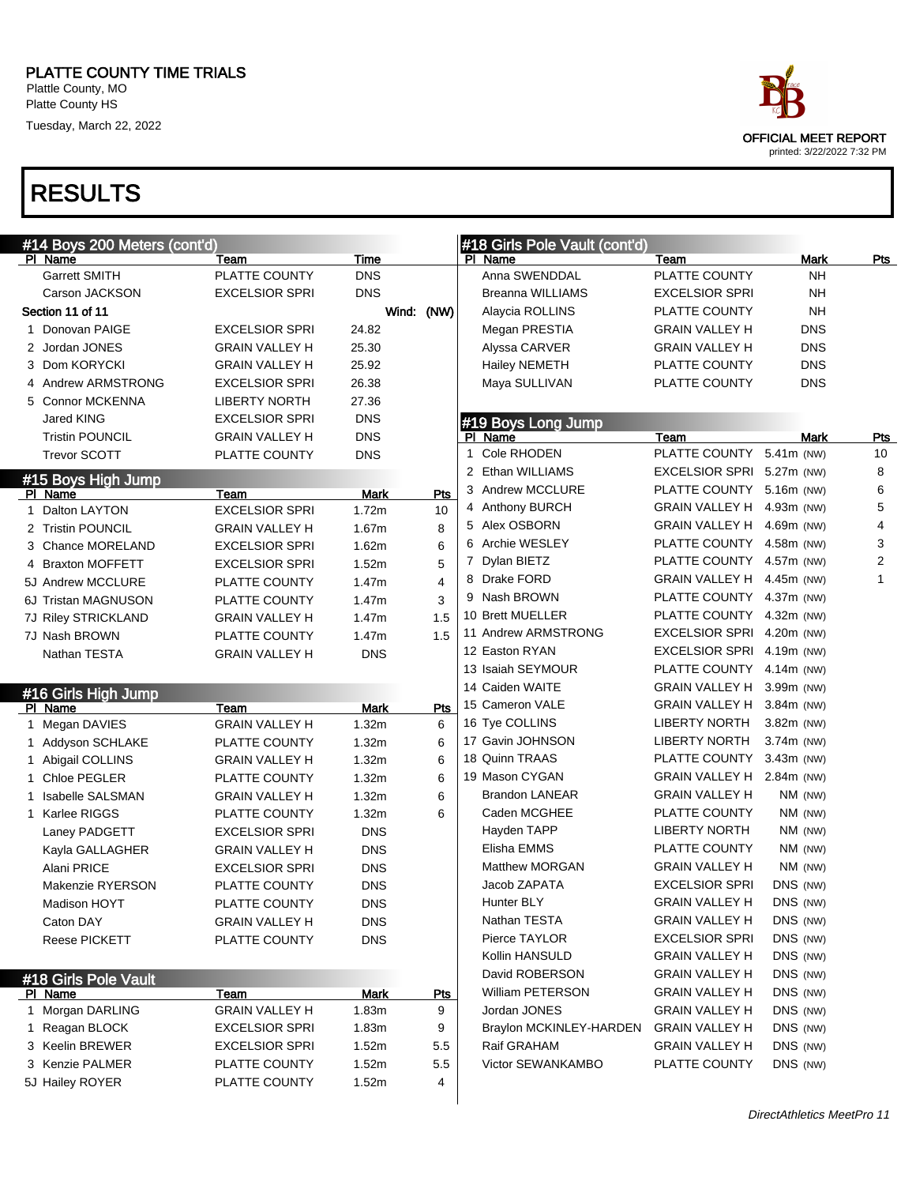#### PLATTE COUNTY TIME TRIALS

Plattle County, MO Platte County HS

Tuesday, March 22, 2022

# OFFICIAL MEET REPORT printed: 3/22/2022 7:32 PM

|   | #14 Boys 200 Meters (cont'd) |                       |             |            | #18 Girls Pole Vault (cont'd) |                           |              |            |              |
|---|------------------------------|-----------------------|-------------|------------|-------------------------------|---------------------------|--------------|------------|--------------|
|   | PI Name                      | Team                  | Time        |            | PI Name                       | Team                      |              | Mark       | <u>Pts</u>   |
|   | <b>Garrett SMITH</b>         | PLATTE COUNTY         | <b>DNS</b>  |            | Anna SWENDDAL                 | PLATTE COUNTY             |              | NΗ         |              |
|   | Carson JACKSON               | <b>EXCELSIOR SPRI</b> | <b>DNS</b>  |            | Breanna WILLIAMS              | <b>EXCELSIOR SPRI</b>     |              | <b>NH</b>  |              |
|   | Section 11 of 11             |                       |             | Wind: (NW) | Alaycia ROLLINS               | PLATTE COUNTY             |              | <b>NH</b>  |              |
|   | 1 Donovan PAIGE              | <b>EXCELSIOR SPRI</b> | 24.82       |            | Megan PRESTIA                 | <b>GRAIN VALLEY H</b>     |              | <b>DNS</b> |              |
|   | 2 Jordan JONES               | <b>GRAIN VALLEY H</b> | 25.30       |            | Alyssa CARVER                 | <b>GRAIN VALLEY H</b>     |              | <b>DNS</b> |              |
|   | 3 Dom KORYCKI                | <b>GRAIN VALLEY H</b> | 25.92       |            | <b>Hailey NEMETH</b>          | PLATTE COUNTY             |              | <b>DNS</b> |              |
|   | 4 Andrew ARMSTRONG           | <b>EXCELSIOR SPRI</b> | 26.38       |            | Maya SULLIVAN                 | PLATTE COUNTY             |              | <b>DNS</b> |              |
|   | 5 Connor MCKENNA             | <b>LIBERTY NORTH</b>  | 27.36       |            |                               |                           |              |            |              |
|   | Jared KING                   | <b>EXCELSIOR SPRI</b> | <b>DNS</b>  |            | #19 Boys Long Jump            |                           |              |            |              |
|   | <b>Tristin POUNCIL</b>       | <b>GRAIN VALLEY H</b> | <b>DNS</b>  |            | PI Name                       | Team                      |              | Mark       | <b>Pts</b>   |
|   | <b>Trevor SCOTT</b>          | PLATTE COUNTY         | <b>DNS</b>  |            | Cole RHODEN<br>$\mathbf{1}$   | PLATTE COUNTY 5.41m (NW)  |              |            | 10           |
|   | #15 Boys High Jump           |                       |             |            | 2 Ethan WILLIAMS              | EXCELSIOR SPRI 5.27m (NW) |              |            | 8            |
|   | PI Name                      | Team                  | Mark        | Pts        | 3 Andrew MCCLURE              | PLATTE COUNTY 5.16m (NW)  |              |            | 6            |
|   | 1 Dalton LAYTON              | <b>EXCELSIOR SPRI</b> | 1.72m       | 10         | 4 Anthony BURCH               | GRAIN VALLEY H            | 4.93m (NW)   |            | 5            |
|   | 2 Tristin POUNCIL            | <b>GRAIN VALLEY H</b> | 1.67m       | 8          | 5 Alex OSBORN                 | <b>GRAIN VALLEY H</b>     | 4.69m (NW)   |            | 4            |
|   | 3 Chance MORELAND            | <b>EXCELSIOR SPRI</b> | 1.62m       | 6          | 6 Archie WESLEY               | PLATTE COUNTY             | 4.58m (NW)   |            | 3            |
|   | 4 Braxton MOFFETT            | <b>EXCELSIOR SPRI</b> | 1.52m       | 5          | 7 Dylan BIETZ                 | PLATTE COUNTY 4.57m (NW)  |              |            | 2            |
|   | 5J Andrew MCCLURE            | PLATTE COUNTY         | 1.47m       | 4          | 8 Drake FORD                  | GRAIN VALLEY H            | 4.45m (NW)   |            | $\mathbf{1}$ |
|   | 6J Tristan MAGNUSON          | PLATTE COUNTY         | 1.47m       | 3          | 9 Nash BROWN                  | PLATTE COUNTY             | 4.37m (NW)   |            |              |
|   | 7J Riley STRICKLAND          | <b>GRAIN VALLEY H</b> | 1.47m       | 1.5        | 10 Brett MUELLER              | PLATTE COUNTY             | 4.32m (NW)   |            |              |
|   | 7J Nash BROWN                | PLATTE COUNTY         | 1.47m       | 1.5        | 11 Andrew ARMSTRONG           | <b>EXCELSIOR SPRI</b>     | 4.20m (NW)   |            |              |
|   | Nathan TESTA                 | <b>GRAIN VALLEY H</b> | <b>DNS</b>  |            | 12 Easton RYAN                | <b>EXCELSIOR SPRI</b>     | 4.19m (NW)   |            |              |
|   |                              |                       |             |            | 13 Isaiah SEYMOUR             | PLATTE COUNTY             | 4.14m (NW)   |            |              |
|   | #16 Girls High Jump          |                       |             |            | 14 Caiden WAITE               | GRAIN VALLEY H            | 3.99m (NW)   |            |              |
|   | PI Name                      | Team                  | <b>Mark</b> | Pts        | 15 Cameron VALE               | GRAIN VALLEY H            | $3.84m$ (NW) |            |              |
|   | 1 Megan DAVIES               | <b>GRAIN VALLEY H</b> | 1.32m       | 6          | 16 Tye COLLINS                | <b>LIBERTY NORTH</b>      | 3.82m (NW)   |            |              |
|   | 1 Addyson SCHLAKE            | PLATTE COUNTY         | 1.32m       | 6          | 17 Gavin JOHNSON              | <b>LIBERTY NORTH</b>      | 3.74m (NW)   |            |              |
|   | 1 Abigail COLLINS            | <b>GRAIN VALLEY H</b> | 1.32m       | 6          | 18 Quinn TRAAS                | PLATTE COUNTY             | $3.43m$ (NW) |            |              |
|   | 1 Chloe PEGLER               | PLATTE COUNTY         | 1.32m       | 6          | 19 Mason CYGAN                | GRAIN VALLEY H 2.84m (NW) |              |            |              |
| 1 | <b>Isabelle SALSMAN</b>      | <b>GRAIN VALLEY H</b> | 1.32m       | 6          | <b>Brandon LANEAR</b>         | <b>GRAIN VALLEY H</b>     | NM (NW)      |            |              |
|   | 1 Karlee RIGGS               | PLATTE COUNTY         | 1.32m       | 6          | Caden MCGHEE                  | PLATTE COUNTY             | NM (NW)      |            |              |
|   | Laney PADGETT                | <b>EXCELSIOR SPRI</b> | <b>DNS</b>  |            | Hayden TAPP                   | <b>LIBERTY NORTH</b>      | NM (NW)      |            |              |
|   | Kayla GALLAGHER              | <b>GRAIN VALLEY H</b> | <b>DNS</b>  |            | Elisha EMMS                   | PLATTE COUNTY             | NM (NW)      |            |              |
|   | Alani PRICE                  | <b>EXCELSIOR SPRI</b> | <b>DNS</b>  |            | <b>Matthew MORGAN</b>         | <b>GRAIN VALLEY H</b>     | NM (NW)      |            |              |
|   | Makenzie RYERSON             | PLATTE COUNTY         | <b>DNS</b>  |            | Jacob ZAPATA                  | <b>EXCELSIOR SPRI</b>     | DNS (NW)     |            |              |
|   | Madison HOYT                 | PLATTE COUNTY         | <b>DNS</b>  |            | Hunter BLY                    | GRAIN VALLEY H            | DNS (NW)     |            |              |
|   | Caton DAY                    | <b>GRAIN VALLEY H</b> | <b>DNS</b>  |            | Nathan TESTA                  | <b>GRAIN VALLEY H</b>     | DNS (NW)     |            |              |
|   | Reese PICKETT                | PLATTE COUNTY         | <b>DNS</b>  |            | Pierce TAYLOR                 | <b>EXCELSIOR SPRI</b>     | DNS (NW)     |            |              |
|   |                              |                       |             |            | Kollin HANSULD                | <b>GRAIN VALLEY H</b>     | DNS (NW)     |            |              |
|   | #18 Girls Pole Vault         |                       |             |            | David ROBERSON                | <b>GRAIN VALLEY H</b>     | DNS (NW)     |            |              |
|   | PI Name                      | Team                  | Mark        | <b>Pts</b> | William PETERSON              | <b>GRAIN VALLEY H</b>     | DNS (NW)     |            |              |
|   | 1 Morgan DARLING             | <b>GRAIN VALLEY H</b> | 1.83m       | 9          | Jordan JONES                  | <b>GRAIN VALLEY H</b>     | DNS (NW)     |            |              |
|   | 1 Reagan BLOCK               | <b>EXCELSIOR SPRI</b> | 1.83m       | 9          | Braylon MCKINLEY-HARDEN       | <b>GRAIN VALLEY H</b>     | DNS (NW)     |            |              |
|   | 3 Keelin BREWER              | <b>EXCELSIOR SPRI</b> | 1.52m       | 5.5        | Raif GRAHAM                   | <b>GRAIN VALLEY H</b>     | DNS (NW)     |            |              |
|   | 3 Kenzie PALMER              | PLATTE COUNTY         | 1.52m       | 5.5        | Victor SEWANKAMBO             | PLATTE COUNTY             | DNS (NW)     |            |              |
|   | 5J Hailey ROYER              | PLATTE COUNTY         | 1.52m       | 4          |                               |                           |              |            |              |